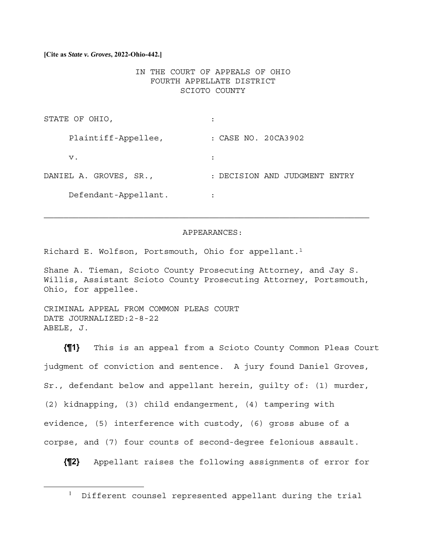# **[Cite as** *State v. Groves***, 2022-Ohio-442.]**

# IN THE COURT OF APPEALS OF OHIO FOURTH APPELLATE DISTRICT SCIOTO COUNTY

| STATE OF OHIO,         |                                  |
|------------------------|----------------------------------|
| Plaintiff-Appellee,    | : CASE NO. 20CA3902              |
| v.                     |                                  |
| DANIEL A. GROVES, SR., | : DECISION AND JUDGMENT<br>FNTRY |
| Defendant-Appellant.   |                                  |

#### APPEARANCES:

Richard E. Wolfson, Portsmouth, Ohio for appellant.1

Shane A. Tieman, Scioto County Prosecuting Attorney, and Jay S. Willis, Assistant Scioto County Prosecuting Attorney, Portsmouth, Ohio, for appellee.

CRIMINAL APPEAL FROM COMMON PLEAS COURT DATE JOURNALIZED:2-8-22 ABELE, J.

1

**{¶1}** This is an appeal from a Scioto County Common Pleas Court judgment of conviction and sentence. A jury found Daniel Groves, Sr., defendant below and appellant herein, guilty of: (1) murder, (2) kidnapping, (3) child endangerment, (4) tampering with evidence, (5) interference with custody, (6) gross abuse of a corpse, and (7) four counts of second-degree felonious assault.

**{¶2}** Appellant raises the following assignments of error for

Different counsel represented appellant during the trial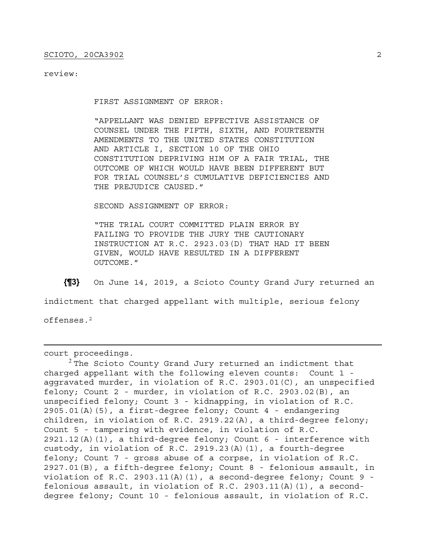# review:

FIRST ASSIGNMENT OF ERROR:

"APPELLANT WAS DENIED EFFECTIVE ASSISTANCE OF COUNSEL UNDER THE FIFTH, SIXTH, AND FOURTEENTH AMENDMENTS TO THE UNITED STATES CONSTITUTION AND ARTICLE I, SECTION 10 OF THE OHIO CONSTITUTION DEPRIVING HIM OF A FAIR TRIAL, THE OUTCOME OF WHICH WOULD HAVE BEEN DIFFERENT BUT FOR TRIAL COUNSEL'S CUMULATIVE DEFICIENCIES AND THE PREJUDICE CAUSED."

SECOND ASSIGNMENT OF ERROR:

"THE TRIAL COURT COMMITTED PLAIN ERROR BY FAILING TO PROVIDE THE JURY THE CAUTIONARY INSTRUCTION AT R.C. 2923.03(D) THAT HAD IT BEEN GIVEN, WOULD HAVE RESULTED IN A DIFFERENT OUTCOME."

**{¶3}** On June 14, 2019, a Scioto County Grand Jury returned an

indictment that charged appellant with multiple, serious felony

offenses.2

court proceedings.

 $2$  The Scioto County Grand Jury returned an indictment that charged appellant with the following eleven counts: Count 1 aggravated murder, in violation of R.C. 2903.01(C), an unspecified felony; Count 2 - murder, in violation of R.C. 2903.02(B), an unspecified felony; Count 3 - kidnapping, in violation of R.C. 2905.01(A)(5), a first-degree felony; Count 4 - endangering children, in violation of R.C. 2919.22(A), a third-degree felony; Count 5 - tampering with evidence, in violation of R.C.  $2921.12(A)(1)$ , a third-degree felony; Count 6 - interference with custody, in violation of R.C. 2919.23(A)(1), a fourth-degree felony; Count 7 - gross abuse of a corpse, in violation of R.C. 2927.01(B), a fifth-degree felony; Count 8 - felonious assault, in violation of R.C. 2903.11(A)(1), a second-degree felony; Count 9 felonious assault, in violation of R.C. 2903.11(A)(1), a seconddegree felony; Count 10 - felonious assault, in violation of R.C.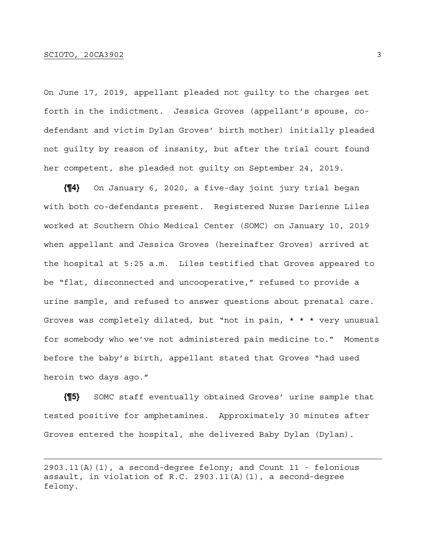On June 17, 2019, appellant pleaded not guilty to the charges set forth in the indictment. Jessica Groves (appellant's spouse, codefendant and victim Dylan Groves' birth mother) initially pleaded not guilty by reason of insanity, but after the trial court found her competent, she pleaded not guilty on September 24, 2019.

**{¶4}** On January 6, 2020, a five-day joint jury trial began with both co-defendants present. Registered Nurse Darienne Liles worked at Southern Ohio Medical Center (SOMC) on January 10, 2019 when appellant and Jessica Groves (hereinafter Groves) arrived at the hospital at 5:25 a.m. Liles testified that Groves appeared to be "flat, disconnected and uncooperative," refused to provide a urine sample, and refused to answer questions about prenatal care. Groves was completely dilated, but "not in pain, \* \* \* very unusual for somebody who we've not administered pain medicine to." Moments before the baby's birth, appellant stated that Groves "had used heroin two days ago."

**{¶5}** SOMC staff eventually obtained Groves' urine sample that tested positive for amphetamines. Approximately 30 minutes after Groves entered the hospital, she delivered Baby Dylan (Dylan).

 $2903.11(A)(1)$ , a second-degree felony; and Count 11 - felonious assault, in violation of R.C. 2903.11(A)(1), a second-degree felony.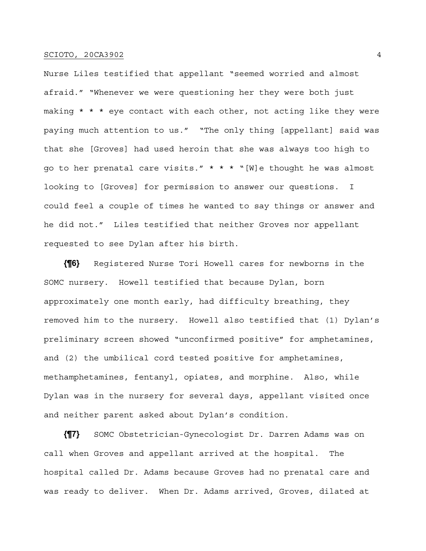Nurse Liles testified that appellant "seemed worried and almost afraid." "Whenever we were questioning her they were both just making  $* * *$  eye contact with each other, not acting like they were paying much attention to us." "The only thing [appellant] said was that she [Groves] had used heroin that she was always too high to go to her prenatal care visits." \* \* \* "[W]e thought he was almost looking to [Groves] for permission to answer our questions. I could feel a couple of times he wanted to say things or answer and he did not." Liles testified that neither Groves nor appellant requested to see Dylan after his birth.

**{¶6}** Registered Nurse Tori Howell cares for newborns in the SOMC nursery. Howell testified that because Dylan, born approximately one month early, had difficulty breathing, they removed him to the nursery. Howell also testified that (1) Dylan's preliminary screen showed "unconfirmed positive" for amphetamines, and (2) the umbilical cord tested positive for amphetamines, methamphetamines, fentanyl, opiates, and morphine. Also, while Dylan was in the nursery for several days, appellant visited once and neither parent asked about Dylan's condition.

**{¶7}** SOMC Obstetrician-Gynecologist Dr. Darren Adams was on call when Groves and appellant arrived at the hospital. The hospital called Dr. Adams because Groves had no prenatal care and was ready to deliver. When Dr. Adams arrived, Groves, dilated at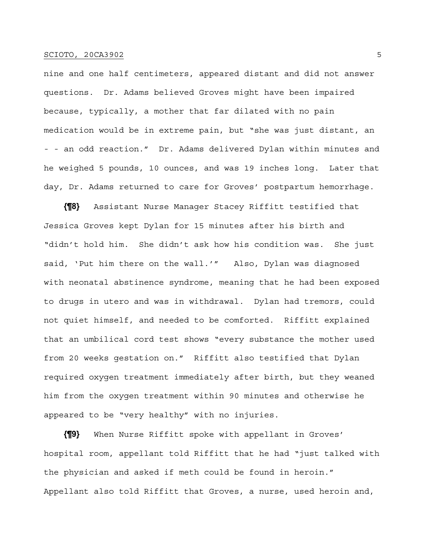nine and one half centimeters, appeared distant and did not answer questions. Dr. Adams believed Groves might have been impaired because, typically, a mother that far dilated with no pain medication would be in extreme pain, but "she was just distant, an - - an odd reaction." Dr. Adams delivered Dylan within minutes and he weighed 5 pounds, 10 ounces, and was 19 inches long. Later that day, Dr. Adams returned to care for Groves' postpartum hemorrhage.

**{¶8}** Assistant Nurse Manager Stacey Riffitt testified that Jessica Groves kept Dylan for 15 minutes after his birth and "didn't hold him. She didn't ask how his condition was. She just said, 'Put him there on the wall.'" Also, Dylan was diagnosed with neonatal abstinence syndrome, meaning that he had been exposed to drugs in utero and was in withdrawal. Dylan had tremors, could not quiet himself, and needed to be comforted. Riffitt explained that an umbilical cord test shows "every substance the mother used from 20 weeks gestation on." Riffitt also testified that Dylan required oxygen treatment immediately after birth, but they weaned him from the oxygen treatment within 90 minutes and otherwise he appeared to be "very healthy" with no injuries.

**{¶9}** When Nurse Riffitt spoke with appellant in Groves' hospital room, appellant told Riffitt that he had "just talked with the physician and asked if meth could be found in heroin." Appellant also told Riffitt that Groves, a nurse, used heroin and,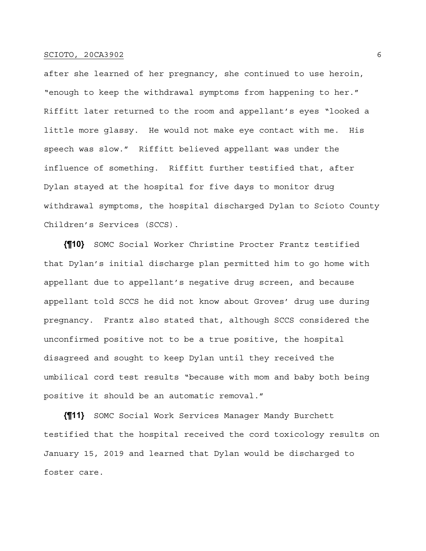after she learned of her pregnancy, she continued to use heroin, "enough to keep the withdrawal symptoms from happening to her." Riffitt later returned to the room and appellant's eyes "looked a little more glassy. He would not make eye contact with me. His speech was slow." Riffitt believed appellant was under the influence of something. Riffitt further testified that, after Dylan stayed at the hospital for five days to monitor drug withdrawal symptoms, the hospital discharged Dylan to Scioto County Children's Services (SCCS).

**{¶10}** SOMC Social Worker Christine Procter Frantz testified that Dylan's initial discharge plan permitted him to go home with appellant due to appellant's negative drug screen, and because appellant told SCCS he did not know about Groves' drug use during pregnancy. Frantz also stated that, although SCCS considered the unconfirmed positive not to be a true positive, the hospital disagreed and sought to keep Dylan until they received the umbilical cord test results "because with mom and baby both being positive it should be an automatic removal."

**{¶11}** SOMC Social Work Services Manager Mandy Burchett testified that the hospital received the cord toxicology results on January 15, 2019 and learned that Dylan would be discharged to foster care.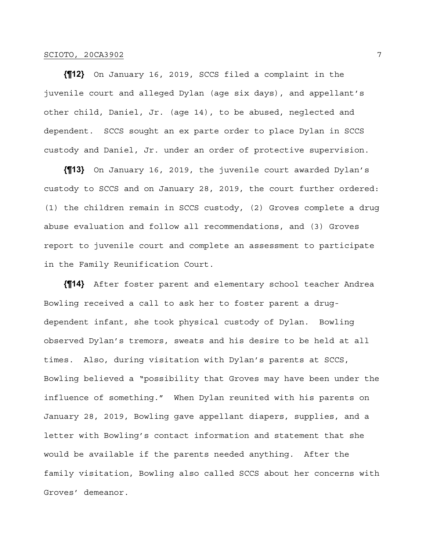**{¶12}** On January 16, 2019, SCCS filed a complaint in the juvenile court and alleged Dylan (age six days), and appellant's other child, Daniel, Jr. (age 14), to be abused, neglected and dependent. SCCS sought an ex parte order to place Dylan in SCCS custody and Daniel, Jr. under an order of protective supervision.

**{¶13}** On January 16, 2019, the juvenile court awarded Dylan's custody to SCCS and on January 28, 2019, the court further ordered: (1) the children remain in SCCS custody, (2) Groves complete a drug abuse evaluation and follow all recommendations, and (3) Groves report to juvenile court and complete an assessment to participate in the Family Reunification Court.

**{¶14}** After foster parent and elementary school teacher Andrea Bowling received a call to ask her to foster parent a drugdependent infant, she took physical custody of Dylan. Bowling observed Dylan's tremors, sweats and his desire to be held at all times. Also, during visitation with Dylan's parents at SCCS, Bowling believed a "possibility that Groves may have been under the influence of something." When Dylan reunited with his parents on January 28, 2019, Bowling gave appellant diapers, supplies, and a letter with Bowling's contact information and statement that she would be available if the parents needed anything. After the family visitation, Bowling also called SCCS about her concerns with Groves' demeanor.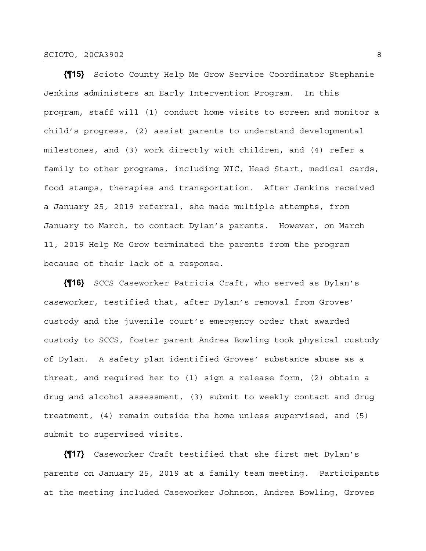**{¶15}** Scioto County Help Me Grow Service Coordinator Stephanie Jenkins administers an Early Intervention Program. In this program, staff will (1) conduct home visits to screen and monitor a child's progress, (2) assist parents to understand developmental milestones, and (3) work directly with children, and (4) refer a family to other programs, including WIC, Head Start, medical cards, food stamps, therapies and transportation. After Jenkins received a January 25, 2019 referral, she made multiple attempts, from January to March, to contact Dylan's parents. However, on March 11, 2019 Help Me Grow terminated the parents from the program because of their lack of a response.

**{¶16}** SCCS Caseworker Patricia Craft, who served as Dylan's caseworker, testified that, after Dylan's removal from Groves' custody and the juvenile court's emergency order that awarded custody to SCCS, foster parent Andrea Bowling took physical custody of Dylan. A safety plan identified Groves' substance abuse as a threat, and required her to (1) sign a release form, (2) obtain a drug and alcohol assessment, (3) submit to weekly contact and drug treatment, (4) remain outside the home unless supervised, and (5) submit to supervised visits.

**{¶17}** Caseworker Craft testified that she first met Dylan's parents on January 25, 2019 at a family team meeting. Participants at the meeting included Caseworker Johnson, Andrea Bowling, Groves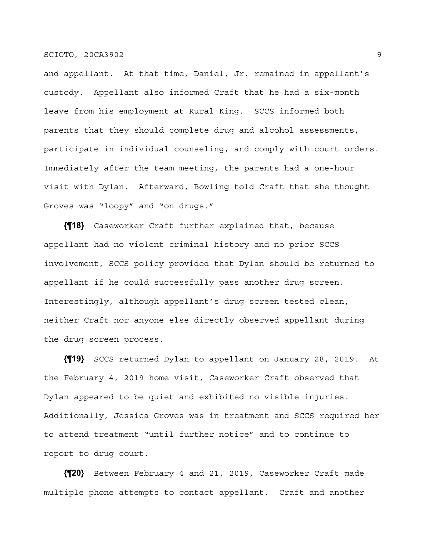and appellant. At that time, Daniel, Jr. remained in appellant's custody. Appellant also informed Craft that he had a six-month leave from his employment at Rural King. SCCS informed both parents that they should complete drug and alcohol assessments, participate in individual counseling, and comply with court orders. Immediately after the team meeting, the parents had a one-hour visit with Dylan. Afterward, Bowling told Craft that she thought Groves was "loopy" and "on drugs."

**{¶18}** Caseworker Craft further explained that, because appellant had no violent criminal history and no prior SCCS involvement, SCCS policy provided that Dylan should be returned to appellant if he could successfully pass another drug screen. Interestingly, although appellant's drug screen tested clean, neither Craft nor anyone else directly observed appellant during the drug screen process.

**{¶19}** SCCS returned Dylan to appellant on January 28, 2019. At the February 4, 2019 home visit, Caseworker Craft observed that Dylan appeared to be quiet and exhibited no visible injuries. Additionally, Jessica Groves was in treatment and SCCS required her to attend treatment "until further notice" and to continue to report to drug court.

**{¶20}** Between February 4 and 21, 2019, Caseworker Craft made multiple phone attempts to contact appellant. Craft and another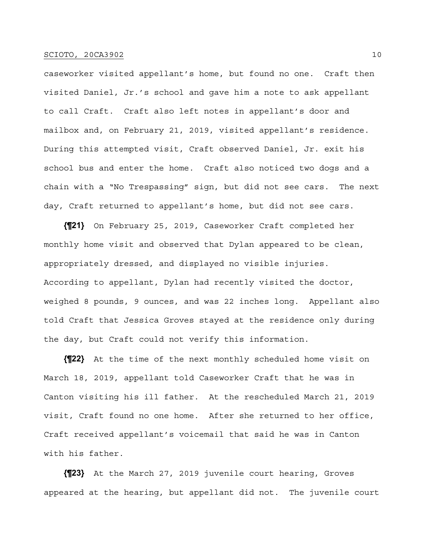caseworker visited appellant's home, but found no one. Craft then visited Daniel, Jr.'s school and gave him a note to ask appellant to call Craft. Craft also left notes in appellant's door and mailbox and, on February 21, 2019, visited appellant's residence. During this attempted visit, Craft observed Daniel, Jr. exit his school bus and enter the home. Craft also noticed two dogs and a chain with a "No Trespassing" sign, but did not see cars. The next day, Craft returned to appellant's home, but did not see cars.

**{¶21}** On February 25, 2019, Caseworker Craft completed her monthly home visit and observed that Dylan appeared to be clean, appropriately dressed, and displayed no visible injuries. According to appellant, Dylan had recently visited the doctor, weighed 8 pounds, 9 ounces, and was 22 inches long. Appellant also told Craft that Jessica Groves stayed at the residence only during the day, but Craft could not verify this information.

**{¶22}** At the time of the next monthly scheduled home visit on March 18, 2019, appellant told Caseworker Craft that he was in Canton visiting his ill father. At the rescheduled March 21, 2019 visit, Craft found no one home. After she returned to her office, Craft received appellant's voicemail that said he was in Canton with his father.

**{¶23}** At the March 27, 2019 juvenile court hearing, Groves appeared at the hearing, but appellant did not. The juvenile court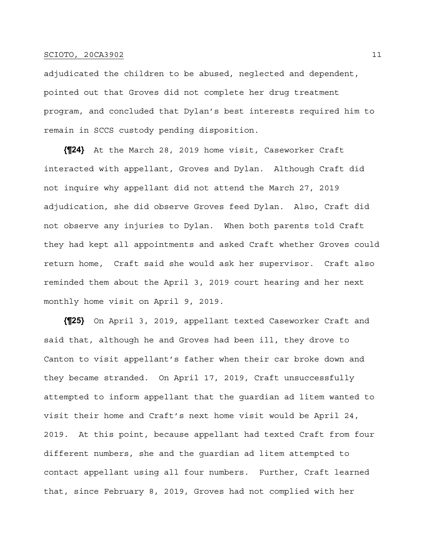adjudicated the children to be abused, neglected and dependent, pointed out that Groves did not complete her drug treatment program, and concluded that Dylan's best interests required him to remain in SCCS custody pending disposition.

**{¶24}** At the March 28, 2019 home visit, Caseworker Craft interacted with appellant, Groves and Dylan. Although Craft did not inquire why appellant did not attend the March 27, 2019 adjudication, she did observe Groves feed Dylan. Also, Craft did not observe any injuries to Dylan. When both parents told Craft they had kept all appointments and asked Craft whether Groves could return home, Craft said she would ask her supervisor. Craft also reminded them about the April 3, 2019 court hearing and her next monthly home visit on April 9, 2019.

**{¶25}** On April 3, 2019, appellant texted Caseworker Craft and said that, although he and Groves had been ill, they drove to Canton to visit appellant's father when their car broke down and they became stranded. On April 17, 2019, Craft unsuccessfully attempted to inform appellant that the guardian ad litem wanted to visit their home and Craft's next home visit would be April 24, 2019. At this point, because appellant had texted Craft from four different numbers, she and the guardian ad litem attempted to contact appellant using all four numbers. Further, Craft learned that, since February 8, 2019, Groves had not complied with her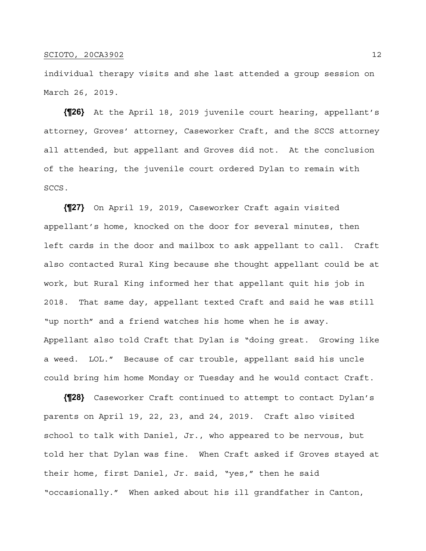individual therapy visits and she last attended a group session on March 26, 2019.

**{¶26}** At the April 18, 2019 juvenile court hearing, appellant's attorney, Groves' attorney, Caseworker Craft, and the SCCS attorney all attended, but appellant and Groves did not. At the conclusion of the hearing, the juvenile court ordered Dylan to remain with SCCS.

**{¶27}** On April 19, 2019, Caseworker Craft again visited appellant's home, knocked on the door for several minutes, then left cards in the door and mailbox to ask appellant to call. Craft also contacted Rural King because she thought appellant could be at work, but Rural King informed her that appellant quit his job in 2018. That same day, appellant texted Craft and said he was still "up north" and a friend watches his home when he is away. Appellant also told Craft that Dylan is "doing great. Growing like a weed. LOL." Because of car trouble, appellant said his uncle could bring him home Monday or Tuesday and he would contact Craft.

**{¶28}** Caseworker Craft continued to attempt to contact Dylan's parents on April 19, 22, 23, and 24, 2019. Craft also visited school to talk with Daniel, Jr., who appeared to be nervous, but told her that Dylan was fine. When Craft asked if Groves stayed at their home, first Daniel, Jr. said, "yes," then he said "occasionally." When asked about his ill grandfather in Canton,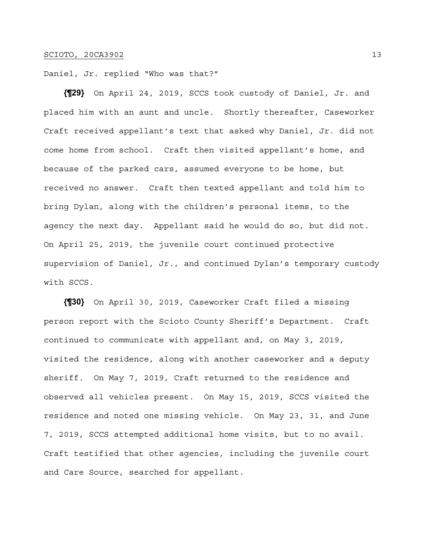Daniel, Jr. replied "Who was that?"

**{¶29}** On April 24, 2019, SCCS took custody of Daniel, Jr. and placed him with an aunt and uncle. Shortly thereafter, Caseworker Craft received appellant's text that asked why Daniel, Jr. did not come home from school. Craft then visited appellant's home, and because of the parked cars, assumed everyone to be home, but received no answer. Craft then texted appellant and told him to bring Dylan, along with the children's personal items, to the agency the next day. Appellant said he would do so, but did not. On April 25, 2019, the juvenile court continued protective supervision of Daniel, Jr., and continued Dylan's temporary custody with SCCS.

**{¶30}** On April 30, 2019, Caseworker Craft filed a missing person report with the Scioto County Sheriff's Department. Craft continued to communicate with appellant and, on May 3, 2019, visited the residence, along with another caseworker and a deputy sheriff. On May 7, 2019, Craft returned to the residence and observed all vehicles present. On May 15, 2019, SCCS visited the residence and noted one missing vehicle. On May 23, 31, and June 7, 2019, SCCS attempted additional home visits, but to no avail. Craft testified that other agencies, including the juvenile court and Care Source, searched for appellant.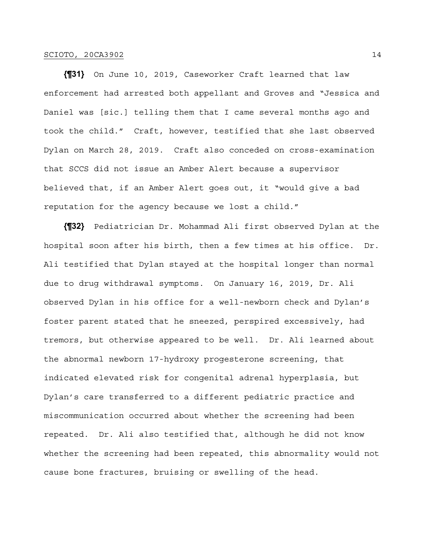**{¶31}** On June 10, 2019, Caseworker Craft learned that law enforcement had arrested both appellant and Groves and "Jessica and Daniel was [sic.] telling them that I came several months ago and took the child." Craft, however, testified that she last observed Dylan on March 28, 2019. Craft also conceded on cross-examination that SCCS did not issue an Amber Alert because a supervisor believed that, if an Amber Alert goes out, it "would give a bad reputation for the agency because we lost a child."

**{¶32}** Pediatrician Dr. Mohammad Ali first observed Dylan at the hospital soon after his birth, then a few times at his office. Dr. Ali testified that Dylan stayed at the hospital longer than normal due to drug withdrawal symptoms. On January 16, 2019, Dr. Ali observed Dylan in his office for a well-newborn check and Dylan's foster parent stated that he sneezed, perspired excessively, had tremors, but otherwise appeared to be well. Dr. Ali learned about the abnormal newborn 17-hydroxy progesterone screening, that indicated elevated risk for congenital adrenal hyperplasia, but Dylan's care transferred to a different pediatric practice and miscommunication occurred about whether the screening had been repeated. Dr. Ali also testified that, although he did not know whether the screening had been repeated, this abnormality would not cause bone fractures, bruising or swelling of the head.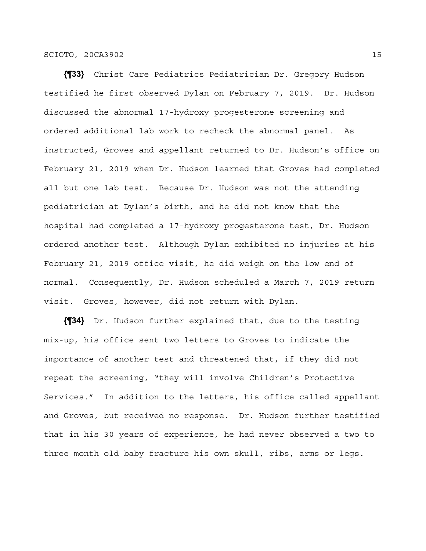**{¶33}** Christ Care Pediatrics Pediatrician Dr. Gregory Hudson testified he first observed Dylan on February 7, 2019. Dr. Hudson discussed the abnormal 17-hydroxy progesterone screening and ordered additional lab work to recheck the abnormal panel. As instructed, Groves and appellant returned to Dr. Hudson's office on February 21, 2019 when Dr. Hudson learned that Groves had completed all but one lab test. Because Dr. Hudson was not the attending pediatrician at Dylan's birth, and he did not know that the hospital had completed a 17-hydroxy progesterone test, Dr. Hudson ordered another test. Although Dylan exhibited no injuries at his February 21, 2019 office visit, he did weigh on the low end of normal. Consequently, Dr. Hudson scheduled a March 7, 2019 return visit. Groves, however, did not return with Dylan.

**{¶34}** Dr. Hudson further explained that, due to the testing mix-up, his office sent two letters to Groves to indicate the importance of another test and threatened that, if they did not repeat the screening, "they will involve Children's Protective Services." In addition to the letters, his office called appellant and Groves, but received no response. Dr. Hudson further testified that in his 30 years of experience, he had never observed a two to three month old baby fracture his own skull, ribs, arms or legs.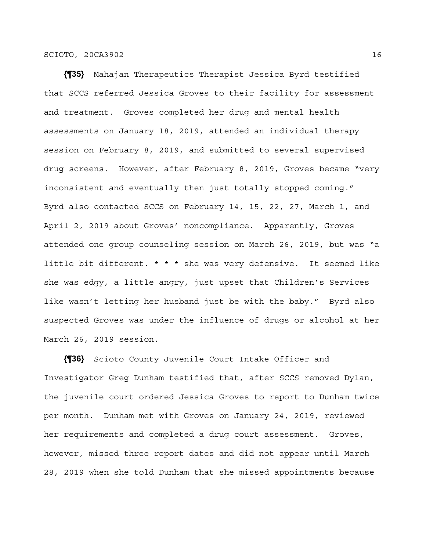**{¶35}** Mahajan Therapeutics Therapist Jessica Byrd testified that SCCS referred Jessica Groves to their facility for assessment and treatment. Groves completed her drug and mental health assessments on January 18, 2019, attended an individual therapy session on February 8, 2019, and submitted to several supervised drug screens. However, after February 8, 2019, Groves became "very inconsistent and eventually then just totally stopped coming." Byrd also contacted SCCS on February 14, 15, 22, 27, March 1, and April 2, 2019 about Groves' noncompliance. Apparently, Groves attended one group counseling session on March 26, 2019, but was "a little bit different. \* \* \* she was very defensive. It seemed like she was edgy, a little angry, just upset that Children's Services like wasn't letting her husband just be with the baby." Byrd also suspected Groves was under the influence of drugs or alcohol at her March 26, 2019 session.

**{¶36}** Scioto County Juvenile Court Intake Officer and Investigator Greg Dunham testified that, after SCCS removed Dylan, the juvenile court ordered Jessica Groves to report to Dunham twice per month. Dunham met with Groves on January 24, 2019, reviewed her requirements and completed a drug court assessment. Groves, however, missed three report dates and did not appear until March 28, 2019 when she told Dunham that she missed appointments because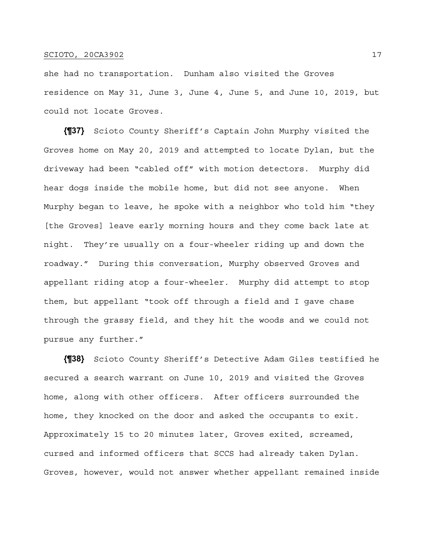she had no transportation. Dunham also visited the Groves residence on May 31, June 3, June 4, June 5, and June 10, 2019, but could not locate Groves.

**{¶37}** Scioto County Sheriff's Captain John Murphy visited the Groves home on May 20, 2019 and attempted to locate Dylan, but the driveway had been "cabled off" with motion detectors. Murphy did hear dogs inside the mobile home, but did not see anyone. When Murphy began to leave, he spoke with a neighbor who told him "they [the Groves] leave early morning hours and they come back late at night. They're usually on a four-wheeler riding up and down the roadway." During this conversation, Murphy observed Groves and appellant riding atop a four-wheeler. Murphy did attempt to stop them, but appellant "took off through a field and I gave chase through the grassy field, and they hit the woods and we could not pursue any further."

**{¶38}** Scioto County Sheriff's Detective Adam Giles testified he secured a search warrant on June 10, 2019 and visited the Groves home, along with other officers. After officers surrounded the home, they knocked on the door and asked the occupants to exit. Approximately 15 to 20 minutes later, Groves exited, screamed, cursed and informed officers that SCCS had already taken Dylan. Groves, however, would not answer whether appellant remained inside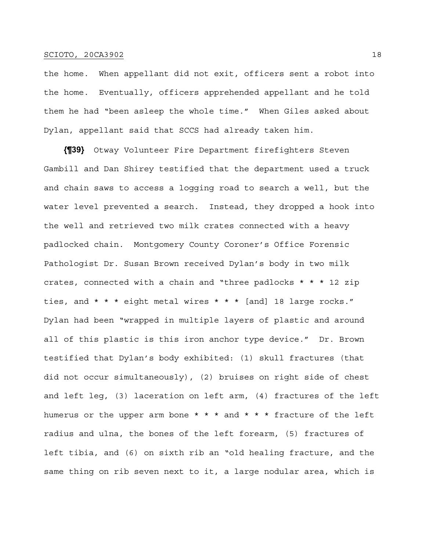the home. When appellant did not exit, officers sent a robot into the home. Eventually, officers apprehended appellant and he told them he had "been asleep the whole time." When Giles asked about Dylan, appellant said that SCCS had already taken him.

**{¶39}** Otway Volunteer Fire Department firefighters Steven Gambill and Dan Shirey testified that the department used a truck and chain saws to access a logging road to search a well, but the water level prevented a search. Instead, they dropped a hook into the well and retrieved two milk crates connected with a heavy padlocked chain. Montgomery County Coroner's Office Forensic Pathologist Dr. Susan Brown received Dylan's body in two milk crates, connected with a chain and "three padlocks \* \* \* 12 zip ties, and \* \* \* eight metal wires \* \* \* [and] 18 large rocks." Dylan had been "wrapped in multiple layers of plastic and around all of this plastic is this iron anchor type device." Dr. Brown testified that Dylan's body exhibited: (1) skull fractures (that did not occur simultaneously), (2) bruises on right side of chest and left leg, (3) laceration on left arm, (4) fractures of the left humerus or the upper arm bone \* \* \* and \* \* \* fracture of the left radius and ulna, the bones of the left forearm, (5) fractures of left tibia, and (6) on sixth rib an "old healing fracture, and the same thing on rib seven next to it, a large nodular area, which is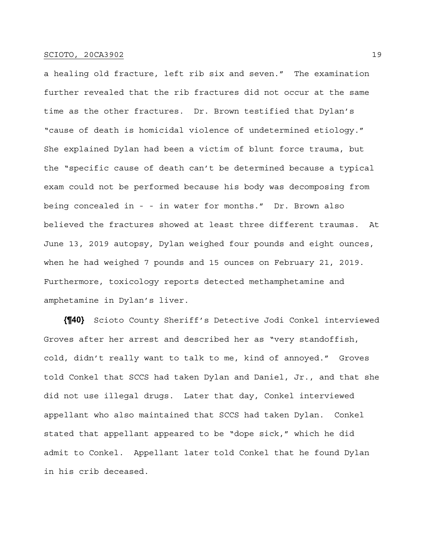a healing old fracture, left rib six and seven." The examination further revealed that the rib fractures did not occur at the same time as the other fractures. Dr. Brown testified that Dylan's "cause of death is homicidal violence of undetermined etiology." She explained Dylan had been a victim of blunt force trauma, but the "specific cause of death can't be determined because a typical exam could not be performed because his body was decomposing from being concealed in - - in water for months." Dr. Brown also believed the fractures showed at least three different traumas. At June 13, 2019 autopsy, Dylan weighed four pounds and eight ounces, when he had weighed 7 pounds and 15 ounces on February 21, 2019. Furthermore, toxicology reports detected methamphetamine and amphetamine in Dylan's liver.

**{¶40}** Scioto County Sheriff's Detective Jodi Conkel interviewed Groves after her arrest and described her as "very standoffish, cold, didn't really want to talk to me, kind of annoyed." Groves told Conkel that SCCS had taken Dylan and Daniel, Jr., and that she did not use illegal drugs. Later that day, Conkel interviewed appellant who also maintained that SCCS had taken Dylan. Conkel stated that appellant appeared to be "dope sick," which he did admit to Conkel. Appellant later told Conkel that he found Dylan in his crib deceased.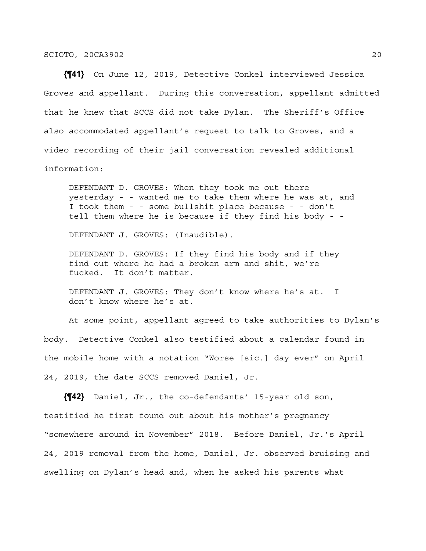**{¶41}** On June 12, 2019, Detective Conkel interviewed Jessica Groves and appellant. During this conversation, appellant admitted that he knew that SCCS did not take Dylan. The Sheriff's Office also accommodated appellant's request to talk to Groves, and a video recording of their jail conversation revealed additional information:

DEFENDANT D. GROVES: When they took me out there yesterday - - wanted me to take them where he was at, and I took them - - some bullshit place because - - don't tell them where he is because if they find his body - -

DEFENDANT J. GROVES: (Inaudible).

DEFENDANT D. GROVES: If they find his body and if they find out where he had a broken arm and shit, we're fucked. It don't matter.

DEFENDANT J. GROVES: They don't know where he's at. I don't know where he's at.

 At some point, appellant agreed to take authorities to Dylan's body. Detective Conkel also testified about a calendar found in the mobile home with a notation "Worse [sic.] day ever" on April 24, 2019, the date SCCS removed Daniel, Jr.

**{¶42}** Daniel, Jr., the co-defendants' 15-year old son, testified he first found out about his mother's pregnancy "somewhere around in November" 2018. Before Daniel, Jr.'s April 24, 2019 removal from the home, Daniel, Jr. observed bruising and swelling on Dylan's head and, when he asked his parents what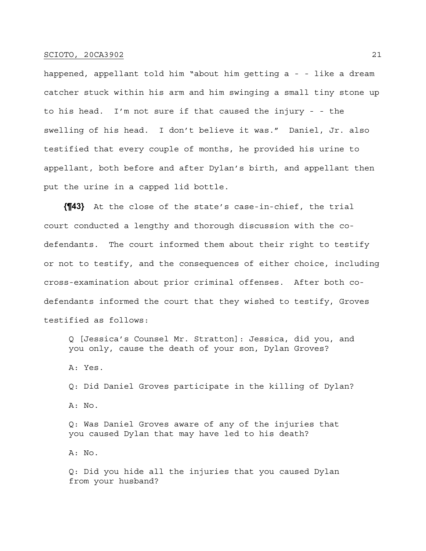happened, appellant told him "about him getting a - - like a dream catcher stuck within his arm and him swinging a small tiny stone up to his head. I'm not sure if that caused the injury - - the swelling of his head. I don't believe it was." Daniel, Jr. also testified that every couple of months, he provided his urine to appellant, both before and after Dylan's birth, and appellant then put the urine in a capped lid bottle.

**{¶43}** At the close of the state's case-in-chief, the trial court conducted a lengthy and thorough discussion with the codefendants. The court informed them about their right to testify or not to testify, and the consequences of either choice, including cross-examination about prior criminal offenses. After both codefendants informed the court that they wished to testify, Groves testified as follows:

Q [Jessica's Counsel Mr. Stratton]: Jessica, did you, and you only, cause the death of your son, Dylan Groves?

A: Yes.

Q: Did Daniel Groves participate in the killing of Dylan? A: No.

Q: Was Daniel Groves aware of any of the injuries that you caused Dylan that may have led to his death?

A: No.

Q: Did you hide all the injuries that you caused Dylan from your husband?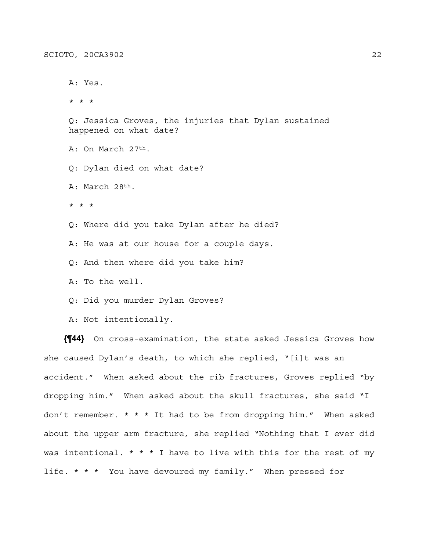A: Yes. \* \* \* Q: Jessica Groves, the injuries that Dylan sustained happened on what date? A: On March 27th. Q: Dylan died on what date? A: March 28th. \* \* \* Q: Where did you take Dylan after he died? A: He was at our house for a couple days. Q: And then where did you take him? A: To the well. Q: Did you murder Dylan Groves? A: Not intentionally.

**{¶44}** On cross-examination, the state asked Jessica Groves how she caused Dylan's death, to which she replied, "[i]t was an accident." When asked about the rib fractures, Groves replied "by dropping him." When asked about the skull fractures, she said "I don't remember.  $* * *$  It had to be from dropping him." When asked about the upper arm fracture, she replied "Nothing that I ever did was intentional.  $* * * I$  have to live with this for the rest of my life. \* \* \* You have devoured my family." When pressed for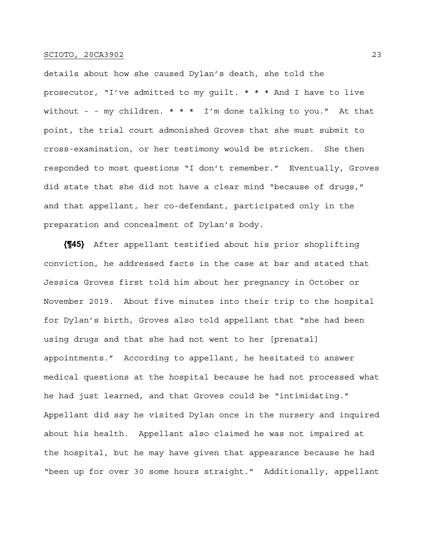details about how she caused Dylan's death, she told the prosecutor, "I've admitted to my guilt. \* \* \* And I have to live without - - my children.  $* * * I'm$  done talking to you." At that point, the trial court admonished Groves that she must submit to cross-examination, or her testimony would be stricken. She then responded to most questions "I don't remember." Eventually, Groves did state that she did not have a clear mind "because of drugs," and that appellant, her co-defendant, participated only in the preparation and concealment of Dylan's body.

**{¶45}** After appellant testified about his prior shoplifting conviction, he addressed facts in the case at bar and stated that Jessica Groves first told him about her pregnancy in October or November 2019. About five minutes into their trip to the hospital for Dylan's birth, Groves also told appellant that "she had been using drugs and that she had not went to her [prenatal] appointments." According to appellant, he hesitated to answer medical questions at the hospital because he had not processed what he had just learned, and that Groves could be "intimidating." Appellant did say he visited Dylan once in the nursery and inquired about his health. Appellant also claimed he was not impaired at the hospital, but he may have given that appearance because he had "been up for over 30 some hours straight." Additionally, appellant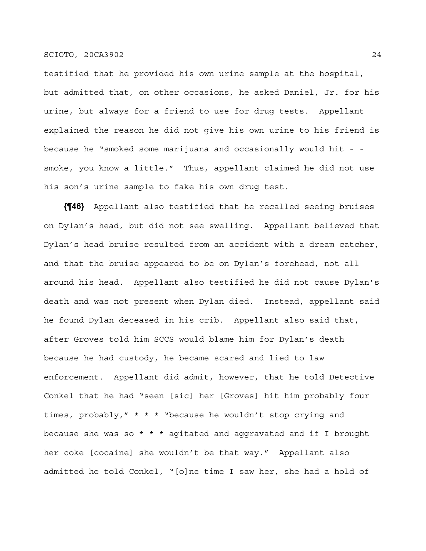testified that he provided his own urine sample at the hospital, but admitted that, on other occasions, he asked Daniel, Jr. for his urine, but always for a friend to use for drug tests. Appellant explained the reason he did not give his own urine to his friend is because he "smoked some marijuana and occasionally would hit - smoke, you know a little." Thus, appellant claimed he did not use his son's urine sample to fake his own drug test.

**{¶46}** Appellant also testified that he recalled seeing bruises on Dylan's head, but did not see swelling. Appellant believed that Dylan's head bruise resulted from an accident with a dream catcher, and that the bruise appeared to be on Dylan's forehead, not all around his head. Appellant also testified he did not cause Dylan's death and was not present when Dylan died. Instead, appellant said he found Dylan deceased in his crib. Appellant also said that, after Groves told him SCCS would blame him for Dylan's death because he had custody, he became scared and lied to law enforcement. Appellant did admit, however, that he told Detective Conkel that he had "seen [sic] her [Groves] hit him probably four times, probably," \* \* \* "because he wouldn't stop crying and because she was so  $* * *$  agitated and aggravated and if I brought her coke [cocaine] she wouldn't be that way." Appellant also admitted he told Conkel, "[o]ne time I saw her, she had a hold of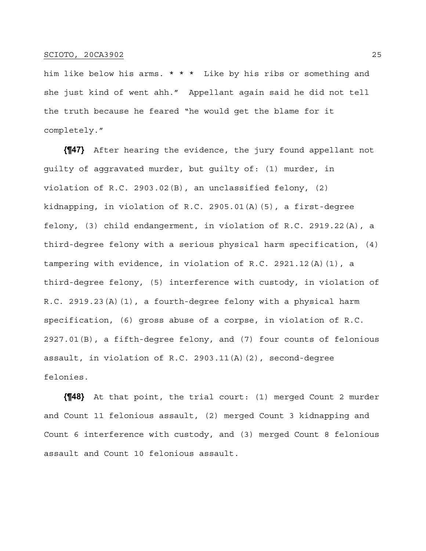him like below his arms. \* \* \* Like by his ribs or something and she just kind of went ahh." Appellant again said he did not tell the truth because he feared "he would get the blame for it completely."

**{¶47}** After hearing the evidence, the jury found appellant not guilty of aggravated murder, but guilty of: (1) murder, in violation of R.C. 2903.02(B), an unclassified felony, (2) kidnapping, in violation of R.C. 2905.01(A)(5), a first-degree felony, (3) child endangerment, in violation of R.C. 2919.22(A), a third-degree felony with a serious physical harm specification, (4) tampering with evidence, in violation of R.C. 2921.12(A)(1), a third-degree felony, (5) interference with custody, in violation of R.C. 2919.23(A)(1), a fourth-degree felony with a physical harm specification, (6) gross abuse of a corpse, in violation of R.C. 2927.01(B), a fifth-degree felony, and (7) four counts of felonious assault, in violation of R.C. 2903.11(A)(2), second-degree felonies.

**{¶48}** At that point, the trial court: (1) merged Count 2 murder and Count 11 felonious assault, (2) merged Count 3 kidnapping and Count 6 interference with custody, and (3) merged Count 8 felonious assault and Count 10 felonious assault.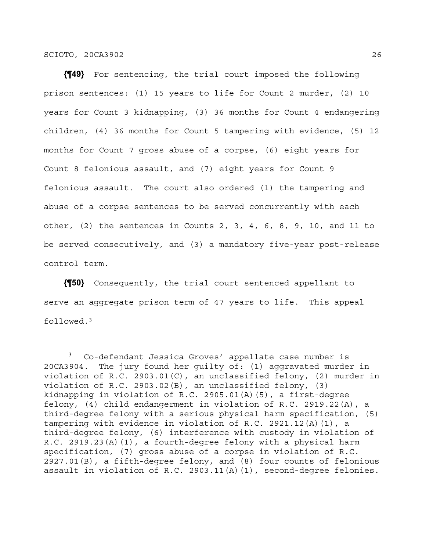**{¶49}** For sentencing, the trial court imposed the following prison sentences: (1) 15 years to life for Count 2 murder, (2) 10 years for Count 3 kidnapping, (3) 36 months for Count 4 endangering children, (4) 36 months for Count 5 tampering with evidence, (5) 12 months for Count 7 gross abuse of a corpse, (6) eight years for Count 8 felonious assault, and (7) eight years for Count 9 felonious assault. The court also ordered (1) the tampering and abuse of a corpse sentences to be served concurrently with each other, (2) the sentences in Counts 2, 3, 4, 6, 8, 9, 10, and 11 to be served consecutively, and (3) a mandatory five-year post-release control term.

**{¶50}** Consequently, the trial court sentenced appellant to serve an aggregate prison term of 47 years to life. This appeal followed.3

 $3$  Co-defendant Jessica Groves' appellate case number is 20CA3904. The jury found her guilty of: (1) aggravated murder in violation of R.C. 2903.01(C), an unclassified felony, (2) murder in violation of R.C. 2903.02(B), an unclassified felony, (3) kidnapping in violation of R.C. 2905.01(A)(5), a first-degree felony, (4) child endangerment in violation of R.C. 2919.22(A), a third-degree felony with a serious physical harm specification, (5) tampering with evidence in violation of R.C. 2921.12(A)(1), a third-degree felony, (6) interference with custody in violation of R.C. 2919.23(A)(1), a fourth-degree felony with a physical harm specification, (7) gross abuse of a corpse in violation of R.C. 2927.01(B), a fifth-degree felony, and (8) four counts of felonious assault in violation of R.C. 2903.11(A)(1), second-degree felonies.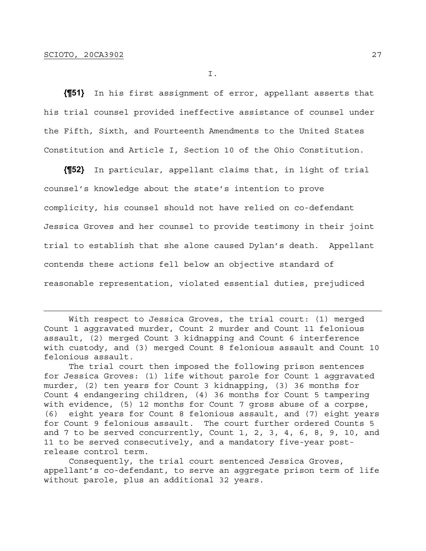**{¶51}** In his first assignment of error, appellant asserts that his trial counsel provided ineffective assistance of counsel under the Fifth, Sixth, and Fourteenth Amendments to the United States Constitution and Article I, Section 10 of the Ohio Constitution.

**{¶52}** In particular, appellant claims that, in light of trial counsel's knowledge about the state's intention to prove complicity, his counsel should not have relied on co-defendant Jessica Groves and her counsel to provide testimony in their joint trial to establish that she alone caused Dylan's death. Appellant contends these actions fell below an objective standard of reasonable representation, violated essential duties, prejudiced

 With respect to Jessica Groves, the trial court: (1) merged Count 1 aggravated murder, Count 2 murder and Count 11 felonious assault, (2) merged Count 3 kidnapping and Count 6 interference with custody, and (3) merged Count 8 felonious assault and Count 10 felonious assault.

 The trial court then imposed the following prison sentences for Jessica Groves: (1) life without parole for Count 1 aggravated murder, (2) ten years for Count 3 kidnapping, (3) 36 months for Count 4 endangering children, (4) 36 months for Count 5 tampering with evidence, (5) 12 months for Count 7 gross abuse of a corpse, (6) eight years for Count 8 felonious assault, and (7) eight years for Count 9 felonious assault. The court further ordered Counts 5 and 7 to be served concurrently, Count 1, 2, 3, 4, 6, 8, 9, 10, and 11 to be served consecutively, and a mandatory five-year postrelease control term.

 Consequently, the trial court sentenced Jessica Groves, appellant's co-defendant, to serve an aggregate prison term of life without parole, plus an additional 32 years.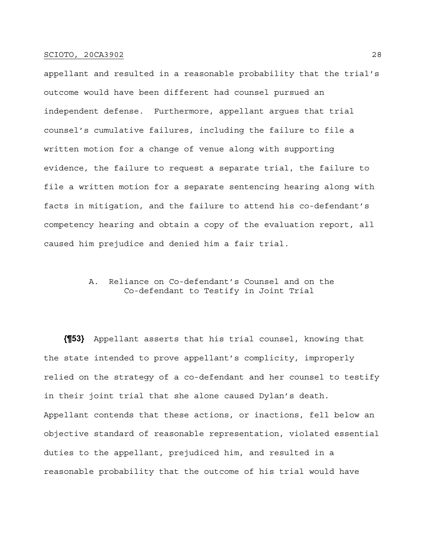appellant and resulted in a reasonable probability that the trial's outcome would have been different had counsel pursued an independent defense. Furthermore, appellant argues that trial counsel's cumulative failures, including the failure to file a written motion for a change of venue along with supporting evidence, the failure to request a separate trial, the failure to file a written motion for a separate sentencing hearing along with facts in mitigation, and the failure to attend his co-defendant's competency hearing and obtain a copy of the evaluation report, all caused him prejudice and denied him a fair trial.

# A. Reliance on Co-defendant's Counsel and on the Co-defendant to Testify in Joint Trial

**{¶53}** Appellant asserts that his trial counsel, knowing that the state intended to prove appellant's complicity, improperly relied on the strategy of a co-defendant and her counsel to testify in their joint trial that she alone caused Dylan's death. Appellant contends that these actions, or inactions, fell below an objective standard of reasonable representation, violated essential duties to the appellant, prejudiced him, and resulted in a reasonable probability that the outcome of his trial would have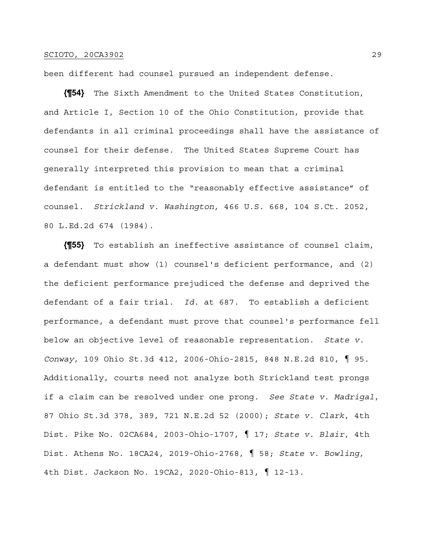been different had counsel pursued an independent defense.

**{¶54}** The Sixth Amendment to the United States Constitution, and Article I, Section 10 of the Ohio Constitution, provide that defendants in all criminal proceedings shall have the assistance of counsel for their defense. The United States Supreme Court has generally interpreted this provision to mean that a criminal defendant is entitled to the "reasonably effective assistance" of counsel. *Strickland v. Washington*, 466 U.S. 668, 104 S.Ct. 2052, 80 L.Ed.2d 674 (1984).

**{¶55}** To establish an ineffective assistance of counsel claim, a defendant must show (1) counsel's deficient performance, and (2) the deficient performance prejudiced the defense and deprived the defendant of a fair trial. *Id.* at 687. To establish a deficient performance, a defendant must prove that counsel's performance fell below an objective level of reasonable representation. *State v. Conway*, 109 Ohio St.3d 412, 2006-Ohio-2815, 848 N.E.2d 810, ¶ 95. Additionally, courts need not analyze both Strickland test prongs if a claim can be resolved under one prong. *See State v. Madrigal*, 87 Ohio St.3d 378, 389, 721 N.E.2d 52 (2000); *State v. Clark*, 4th Dist. Pike No. 02CA684, 2003-Ohio-1707, ¶ 17; *State v. Blair*, 4th Dist. Athens No. 18CA24, 2019-Ohio-2768, ¶ 58; *State v. Bowling,* 4th Dist. Jackson No. 19CA2, 2020-Ohio-813, ¶ 12-13.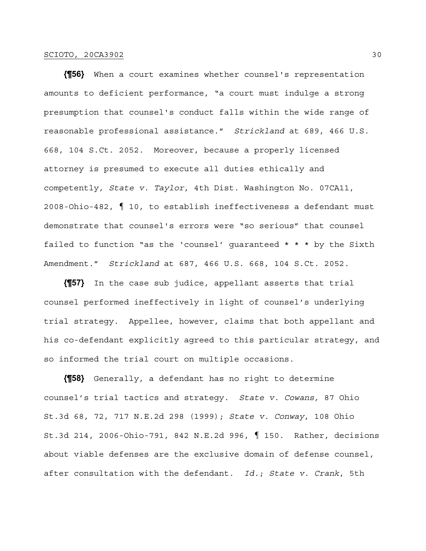**{¶56}** When a court examines whether counsel's representation amounts to deficient performance, "a court must indulge a strong presumption that counsel's conduct falls within the wide range of reasonable professional assistance." *Strickland* at 689, 466 U.S. 668, 104 S.Ct. 2052. Moreover, because a properly licensed attorney is presumed to execute all duties ethically and competently*, State v. Taylor*, 4th Dist. Washington No. 07CA11, 2008-Ohio-482, ¶ 10, to establish ineffectiveness a defendant must demonstrate that counsel's errors were "so serious" that counsel failed to function "as the 'counsel' guaranteed \* \* \* by the Sixth Amendment." *Strickland* at 687, 466 U.S. 668, 104 S.Ct. 2052.

**{¶57}** In the case sub judice, appellant asserts that trial counsel performed ineffectively in light of counsel's underlying trial strategy. Appellee, however, claims that both appellant and his co-defendant explicitly agreed to this particular strategy, and so informed the trial court on multiple occasions.

**{¶58}** Generally, a defendant has no right to determine counsel's trial tactics and strategy. *State v. Cowans,* 87 Ohio St.3d 68, 72, 717 N.E.2d 298 (1999); *State v. Conway*, 108 Ohio St.3d 214, 2006-Ohio-791, 842 N.E.2d 996, ¶ 150. Rather, decisions about viable defenses are the exclusive domain of defense counsel, after consultation with the defendant. *Id.*; *State v. Crank*, 5th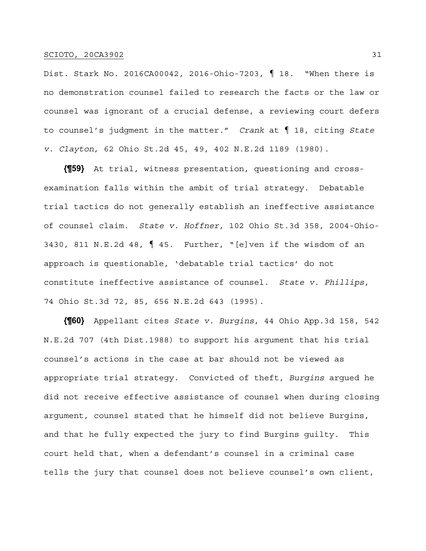Dist. Stark No. 2016CA00042, 2016-Ohio-7203, ¶ 18. "When there is no demonstration counsel failed to research the facts or the law or counsel was ignorant of a crucial defense, a reviewing court defers to counsel's judgment in the matter." *Crank* at ¶ 18, citing *State v. Clayton*, 62 Ohio St.2d 45, 49, 402 N.E.2d 1189 (1980).

**{¶59}** At trial, witness presentation, questioning and crossexamination falls within the ambit of trial strategy. Debatable trial tactics do not generally establish an ineffective assistance of counsel claim. *State v. Hoffner*, 102 Ohio St.3d 358, 2004-Ohio-3430, 811 N.E.2d 48, ¶ 45. Further, "[e]ven if the wisdom of an approach is questionable, 'debatable trial tactics' do not constitute ineffective assistance of counsel. *State v. Phillips*, 74 Ohio St.3d 72, 85, 656 N.E.2d 643 (1995).

**{¶60}** Appellant cites *State v. Burgins*, 44 Ohio App.3d 158, 542 N.E.2d 707 (4th Dist.1988) to support his argument that his trial counsel's actions in the case at bar should not be viewed as appropriate trial strategy. Convicted of theft, *Burgins* argued he did not receive effective assistance of counsel when during closing argument, counsel stated that he himself did not believe Burgins, and that he fully expected the jury to find Burgins guilty. This court held that, when a defendant's counsel in a criminal case tells the jury that counsel does not believe counsel's own client,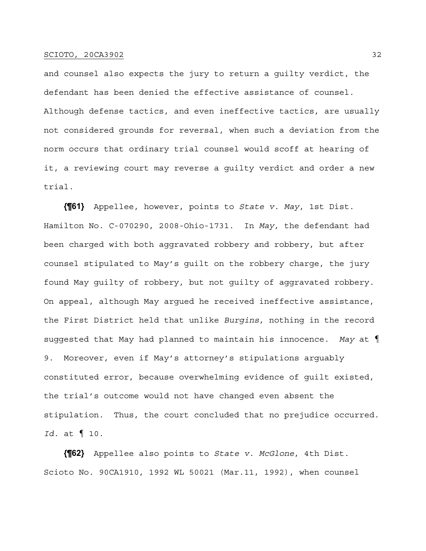and counsel also expects the jury to return a guilty verdict, the defendant has been denied the effective assistance of counsel. Although defense tactics, and even ineffective tactics, are usually not considered grounds for reversal, when such a deviation from the norm occurs that ordinary trial counsel would scoff at hearing of it, a reviewing court may reverse a guilty verdict and order a new trial.

**{¶61}** Appellee, however, points to *State v. May*, 1st Dist. Hamilton No. C-070290, 2008-Ohio-1731. In *May*, the defendant had been charged with both aggravated robbery and robbery, but after counsel stipulated to May's guilt on the robbery charge, the jury found May guilty of robbery, but not guilty of aggravated robbery. On appeal, although May argued he received ineffective assistance, the First District held that unlike *Burgins*, nothing in the record suggested that May had planned to maintain his innocence. *May* at ¶ 9. Moreover, even if May's attorney's stipulations arguably constituted error, because overwhelming evidence of guilt existed, the trial's outcome would not have changed even absent the stipulation. Thus, the court concluded that no prejudice occurred. *Id.* at ¶ 10.

**{¶62}** Appellee also points to *State v. McGlone*, 4th Dist. Scioto No. 90CA1910, 1992 WL 50021 (Mar.11, 1992), when counsel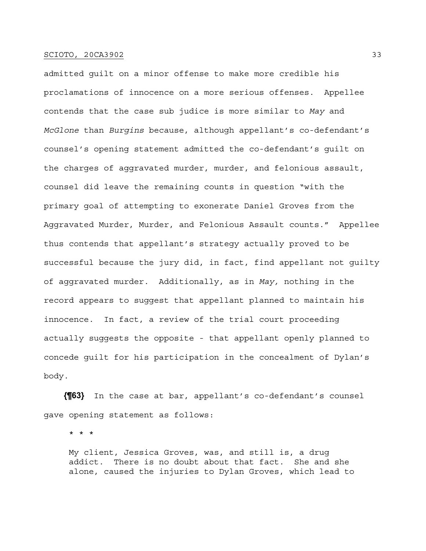admitted guilt on a minor offense to make more credible his proclamations of innocence on a more serious offenses. Appellee contends that the case sub judice is more similar to *May* and *McGlone* than *Burgins* because, although appellant's co-defendant's counsel's opening statement admitted the co-defendant's guilt on the charges of aggravated murder, murder, and felonious assault, counsel did leave the remaining counts in question "with the primary goal of attempting to exonerate Daniel Groves from the Aggravated Murder, Murder, and Felonious Assault counts." Appellee thus contends that appellant's strategy actually proved to be successful because the jury did, in fact, find appellant not guilty of aggravated murder. Additionally, as in *May,* nothing in the record appears to suggest that appellant planned to maintain his innocence. In fact, a review of the trial court proceeding actually suggests the opposite - that appellant openly planned to concede guilt for his participation in the concealment of Dylan's body.

**{¶63}** In the case at bar, appellant's co-defendant's counsel gave opening statement as follows:

\* \* \*

My client, Jessica Groves, was, and still is, a drug addict. There is no doubt about that fact. She and she alone, caused the injuries to Dylan Groves, which lead to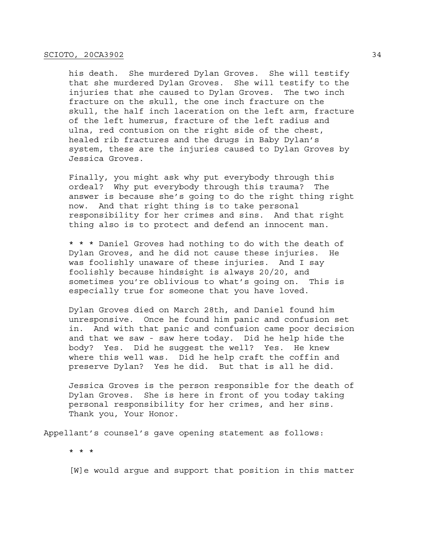his death. She murdered Dylan Groves. She will testify that she murdered Dylan Groves. She will testify to the injuries that she caused to Dylan Groves. The two inch fracture on the skull, the one inch fracture on the skull, the half inch laceration on the left arm, fracture of the left humerus, fracture of the left radius and ulna, red contusion on the right side of the chest, healed rib fractures and the drugs in Baby Dylan's system, these are the injuries caused to Dylan Groves by Jessica Groves.

Finally, you might ask why put everybody through this ordeal? Why put everybody through this trauma? The answer is because she's going to do the right thing right now. And that right thing is to take personal responsibility for her crimes and sins. And that right thing also is to protect and defend an innocent man.

\* \* \* Daniel Groves had nothing to do with the death of Dylan Groves, and he did not cause these injuries. He was foolishly unaware of these injuries. And I say foolishly because hindsight is always 20/20, and sometimes you're oblivious to what's going on. This is especially true for someone that you have loved.

Dylan Groves died on March 28th, and Daniel found him unresponsive. Once he found him panic and confusion set in. And with that panic and confusion came poor decision and that we saw - saw here today. Did he help hide the body? Yes. Did he suggest the well? Yes. He knew where this well was. Did he help craft the coffin and preserve Dylan? Yes he did. But that is all he did.

Jessica Groves is the person responsible for the death of Dylan Groves. She is here in front of you today taking personal responsibility for her crimes, and her sins. Thank you, Your Honor.

Appellant's counsel's gave opening statement as follows:

\* \* \*

[W]e would argue and support that position in this matter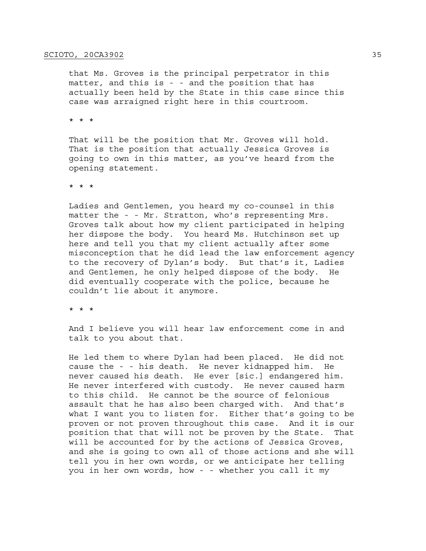that Ms. Groves is the principal perpetrator in this matter, and this is - - and the position that has actually been held by the State in this case since this case was arraigned right here in this courtroom.

\* \* \*

That will be the position that Mr. Groves will hold. That is the position that actually Jessica Groves is going to own in this matter, as you've heard from the opening statement.

\* \* \*

Ladies and Gentlemen, you heard my co-counsel in this matter the - - Mr. Stratton, who's representing Mrs. Groves talk about how my client participated in helping her dispose the body. You heard Ms. Hutchinson set up here and tell you that my client actually after some misconception that he did lead the law enforcement agency to the recovery of Dylan's body. But that's it, Ladies and Gentlemen, he only helped dispose of the body. He did eventually cooperate with the police, because he couldn't lie about it anymore.

\* \* \*

And I believe you will hear law enforcement come in and talk to you about that.

He led them to where Dylan had been placed. He did not cause the - - his death. He never kidnapped him. He never caused his death. He ever [sic.] endangered him. He never interfered with custody. He never caused harm to this child. He cannot be the source of felonious assault that he has also been charged with. And that's what I want you to listen for. Either that's going to be proven or not proven throughout this case. And it is our position that that will not be proven by the State. That will be accounted for by the actions of Jessica Groves, and she is going to own all of those actions and she will tell you in her own words, or we anticipate her telling you in her own words, how - - whether you call it my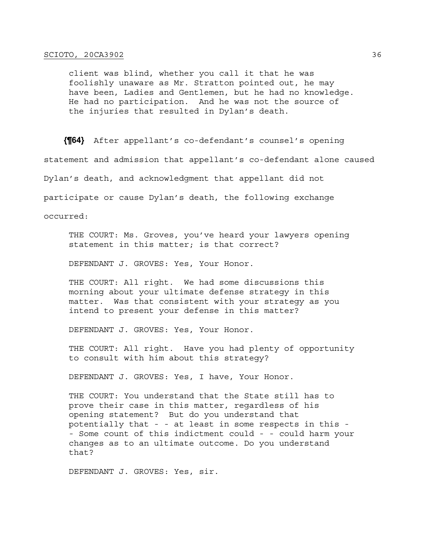client was blind, whether you call it that he was foolishly unaware as Mr. Stratton pointed out, he may have been, Ladies and Gentlemen, but he had no knowledge. He had no participation. And he was not the source of the injuries that resulted in Dylan's death.

**{¶64}** After appellant's co-defendant's counsel's opening statement and admission that appellant's co-defendant alone caused Dylan's death, and acknowledgment that appellant did not participate or cause Dylan's death, the following exchange occurred:

THE COURT: Ms. Groves, you've heard your lawyers opening statement in this matter; is that correct?

DEFENDANT J. GROVES: Yes, Your Honor.

THE COURT: All right. We had some discussions this morning about your ultimate defense strategy in this matter. Was that consistent with your strategy as you intend to present your defense in this matter?

DEFENDANT J. GROVES: Yes, Your Honor.

THE COURT: All right. Have you had plenty of opportunity to consult with him about this strategy?

DEFENDANT J. GROVES: Yes, I have, Your Honor.

THE COURT: You understand that the State still has to prove their case in this matter, regardless of his opening statement? But do you understand that potentially that - - at least in some respects in this - - Some count of this indictment could - - could harm your changes as to an ultimate outcome. Do you understand that?

DEFENDANT J. GROVES: Yes, sir.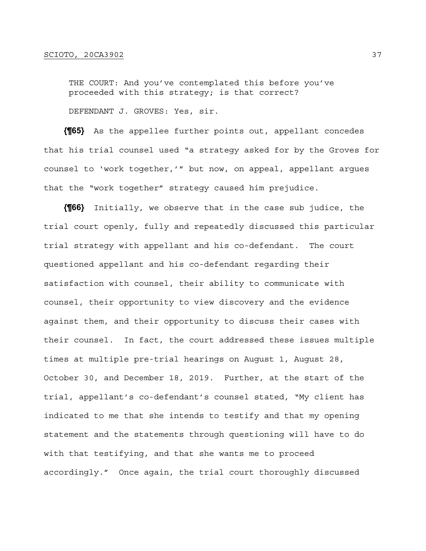THE COURT: And you've contemplated this before you've proceeded with this strategy; is that correct?

DEFENDANT J. GROVES: Yes, sir.

**{¶65}** As the appellee further points out, appellant concedes that his trial counsel used "a strategy asked for by the Groves for counsel to 'work together,'" but now, on appeal, appellant argues that the "work together" strategy caused him prejudice.

**{¶66}** Initially, we observe that in the case sub judice, the trial court openly, fully and repeatedly discussed this particular trial strategy with appellant and his co-defendant. The court questioned appellant and his co-defendant regarding their satisfaction with counsel, their ability to communicate with counsel, their opportunity to view discovery and the evidence against them, and their opportunity to discuss their cases with their counsel. In fact, the court addressed these issues multiple times at multiple pre-trial hearings on August 1, August 28, October 30, and December 18, 2019. Further, at the start of the trial, appellant's co-defendant's counsel stated, "My client has indicated to me that she intends to testify and that my opening statement and the statements through questioning will have to do with that testifying, and that she wants me to proceed accordingly." Once again, the trial court thoroughly discussed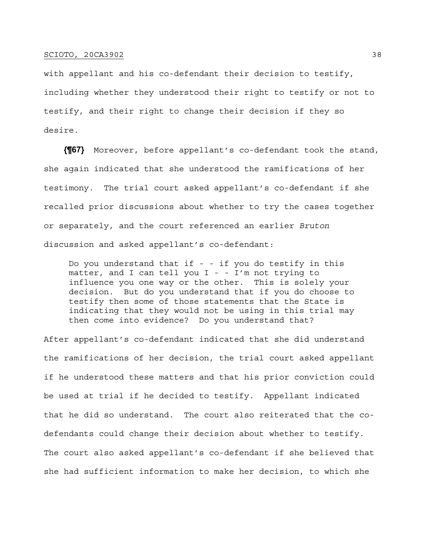with appellant and his co-defendant their decision to testify, including whether they understood their right to testify or not to testify, and their right to change their decision if they so desire.

**{¶67}** Moreover, before appellant's co-defendant took the stand, she again indicated that she understood the ramifications of her testimony. The trial court asked appellant's co-defendant if she recalled prior discussions about whether to try the cases together or separately, and the court referenced an earlier *Bruton* discussion and asked appellant's co-defendant:

Do you understand that if - - if you do testify in this matter, and I can tell you  $I - - I'm$  not trying to influence you one way or the other. This is solely your decision. But do you understand that if you do choose to testify then some of those statements that the State is indicating that they would not be using in this trial may then come into evidence? Do you understand that?

After appellant's co-defendant indicated that she did understand the ramifications of her decision, the trial court asked appellant if he understood these matters and that his prior conviction could be used at trial if he decided to testify. Appellant indicated that he did so understand. The court also reiterated that the codefendants could change their decision about whether to testify. The court also asked appellant's co-defendant if she believed that she had sufficient information to make her decision, to which she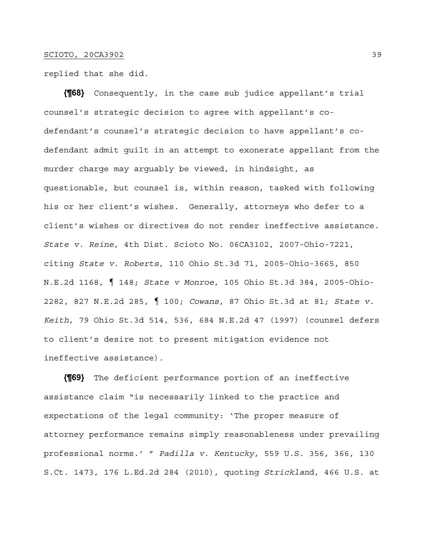replied that she did.

**{¶68}** Consequently, in the case sub judice appellant's trial counsel's strategic decision to agree with appellant's codefendant's counsel's strategic decision to have appellant's codefendant admit guilt in an attempt to exonerate appellant from the murder charge may arguably be viewed, in hindsight, as questionable, but counsel is, within reason, tasked with following his or her client's wishes. Generally, attorneys who defer to a client's wishes or directives do not render ineffective assistance. *State v. Reine*, 4th Dist. Scioto No. 06CA3102, 2007-Ohio-7221, citing *State v. Roberts*, 110 Ohio St.3d 71, 2005-Ohio-3665, 850 N.E.2d 1168, ¶ 148; *State v Monroe*, 105 Ohio St.3d 384, 2005-Ohio-2282, 827 N.E.2d 285, ¶ 100; *Cowans*, 87 Ohio St.3d at 81; *State v. Keith*, 79 Ohio St.3d 514, 536, 684 N.E.2d 47 (1997) (counsel defers to client's desire not to present mitigation evidence not ineffective assistance).

**{¶69}** The deficient performance portion of an ineffective assistance claim "is necessarily linked to the practice and expectations of the legal community: 'The proper measure of attorney performance remains simply reasonableness under prevailing professional norms.' " *Padilla v. Kentucky*, 559 U.S. 356, 366, 130 S.Ct. 1473, 176 L.Ed.2d 284 (2010), quoting *Stricklan*d, 466 U.S. at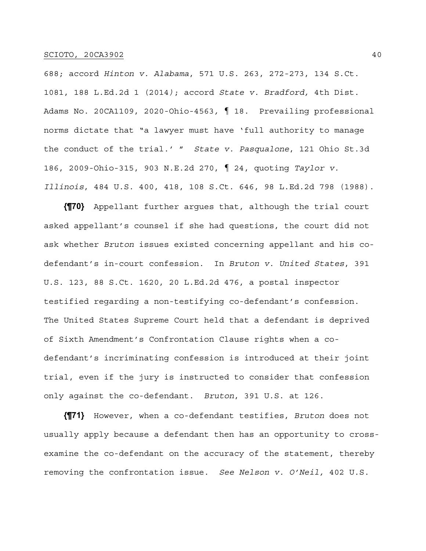688; accord *Hinton v. Alabama*, 571 U.S. 263, 272-273, 134 S.Ct. 1081, 188 L.Ed.2d 1 (2014*)*; accord *State v. Bradford,* 4th Dist. Adams No. 20CA1109, 2020-Ohio-4563*,* ¶ 18.Prevailing professional norms dictate that "a lawyer must have 'full authority to manage the conduct of the trial.' " *State v. Pasqualone*, 121 Ohio St.3d 186, 2009-Ohio-315, 903 N.E.2d 270, ¶ 24, quoting *Taylor v. Illinois*, 484 U.S. 400, 418, 108 S.Ct. 646, 98 L.Ed.2d 798 (1988).

**{¶70}** Appellant further argues that, although the trial court asked appellant's counsel if she had questions, the court did not ask whether *Bruton* issues existed concerning appellant and his codefendant's in-court confession. In *Bruton v. United States*, 391 U.S. 123, 88 S.Ct. 1620, 20 L.Ed.2d 476, a postal inspector testified regarding a non-testifying co-defendant's confession. The United States Supreme Court held that a defendant is deprived of Sixth Amendment's Confrontation Clause rights when a codefendant's incriminating confession is introduced at their joint trial, even if the jury is instructed to consider that confession only against the co-defendant. *Bruton*, 391 U.S. at 126.

**{¶71}** However, when a co-defendant testifies, *Bruton* does not usually apply because a defendant then has an opportunity to crossexamine the co-defendant on the accuracy of the statement, thereby removing the confrontation issue. *See Nelson v. O'Neil,* 402 U.S.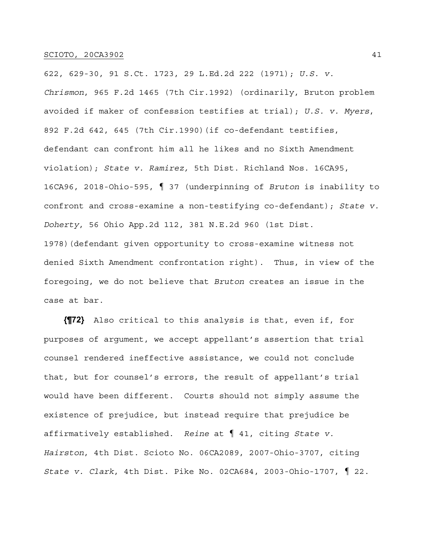622, 629-30, 91 S.Ct. 1723, 29 L.Ed.2d 222 (1971); *U.S. v. Chrismon*, 965 F.2d 1465 (7th Cir.1992) (ordinarily, Bruton problem avoided if maker of confession testifies at trial); *U.S. v. Myers*, 892 F.2d 642, 645 (7th Cir.1990)(if co-defendant testifies, defendant can confront him all he likes and no Sixth Amendment violation); *State v. Ramirez,* 5th Dist. Richland Nos. 16CA95, 16CA96, 2018-Ohio-595, ¶ 37 (underpinning of *Bruton* is inability to confront and cross-examine a non-testifying co-defendant); *State v. Doherty*, 56 Ohio App.2d 112, 381 N.E.2d 960 (1st Dist. 1978)(defendant given opportunity to cross-examine witness not denied Sixth Amendment confrontation right). Thus, in view of the foregoing, we do not believe that *Bruton* creates an issue in the case at bar.

**{¶72}** Also critical to this analysis is that, even if, for purposes of argument, we accept appellant's assertion that trial counsel rendered ineffective assistance, we could not conclude that, but for counsel's errors, the result of appellant's trial would have been different. Courts should not simply assume the existence of prejudice, but instead require that prejudice be affirmatively established. *Reine* at ¶ 41, citing *State v. Hairston*, 4th Dist. Scioto No. 06CA2089, 2007-Ohio-3707, citing *State v. Clark*, 4th Dist. Pike No. 02CA684, 2003-Ohio-1707, ¶ 22.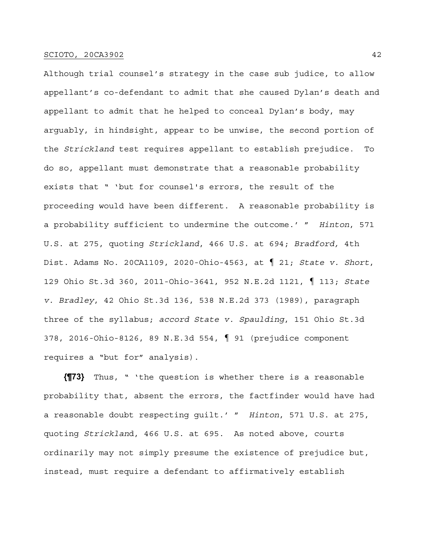Although trial counsel's strategy in the case sub judice, to allow appellant's co-defendant to admit that she caused Dylan's death and appellant to admit that he helped to conceal Dylan's body, may arguably, in hindsight, appear to be unwise, the second portion of the *Strickland* test requires appellant to establish prejudice. To do so, appellant must demonstrate that a reasonable probability exists that " 'but for counsel's errors, the result of the proceeding would have been different. A reasonable probability is a probability sufficient to undermine the outcome.' " *Hinton*, 571 U.S. at 275, quoting *Strickland*, 466 U.S. at 694; *Bradford,* 4th Dist. Adams No. 20CA1109, 2020-Ohio-4563, at ¶ 21; *State v. Short*, 129 Ohio St.3d 360, 2011-Ohio-3641, 952 N.E.2d 1121, ¶ 113; *State v. Bradley*, 42 Ohio St.3d 136, 538 N.E.2d 373 (1989), paragraph three of the syllabus; *accord State v. Spaulding*, 151 Ohio St.3d 378, 2016-Ohio-8126, 89 N.E.3d 554, ¶ 91 (prejudice component requires a "but for" analysis).

**{¶73}** Thus, " 'the question is whether there is a reasonable probability that, absent the errors, the factfinder would have had a reasonable doubt respecting guilt.' " *Hinton*, 571 U.S. at 275, quoting *Stricklan*d, 466 U.S. at 695. As noted above, courts ordinarily may not simply presume the existence of prejudice but, instead, must require a defendant to affirmatively establish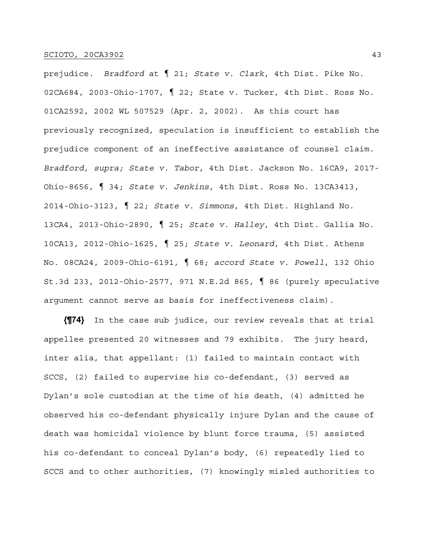prejudice. *Bradford* at ¶ 21; *State v. Clark*, 4th Dist. Pike No. 02CA684, 2003-Ohio-1707, ¶ 22; State v. Tucker, 4th Dist. Ross No. 01CA2592, 2002 WL 507529 (Apr. 2, 2002). As this court has previously recognized, speculation is insufficient to establish the prejudice component of an ineffective assistance of counsel claim. *Bradford, supra; State v. Tabor*, 4th Dist. Jackson No. 16CA9, 2017- Ohio-8656, ¶ 34; *State v. Jenkins*, 4th Dist. Ross No. 13CA3413, 2014-Ohio-3123, ¶ 22; *State v. Simmons*, 4th Dist. Highland No. 13CA4, 2013-Ohio-2890, ¶ 25; *State v. Halley*, 4th Dist. Gallia No. 10CA13, 2012-Ohio-1625, ¶ 25; *State v. Leonard*, 4th Dist. Athens No. 08CA24, 2009-Ohio-6191, ¶ 68; *accord State v. Powell*, 132 Ohio St.3d 233, 2012-Ohio-2577, 971 N.E.2d 865, ¶ 86 (purely speculative argument cannot serve as basis for ineffectiveness claim).

**{¶74}** In the case sub judice, our review reveals that at trial appellee presented 20 witnesses and 79 exhibits. The jury heard, inter alia, that appellant: (1) failed to maintain contact with SCCS, (2) failed to supervise his co-defendant, (3) served as Dylan's sole custodian at the time of his death, (4) admitted he observed his co-defendant physically injure Dylan and the cause of death was homicidal violence by blunt force trauma, (5) assisted his co-defendant to conceal Dylan's body, (6) repeatedly lied to SCCS and to other authorities, (7) knowingly misled authorities to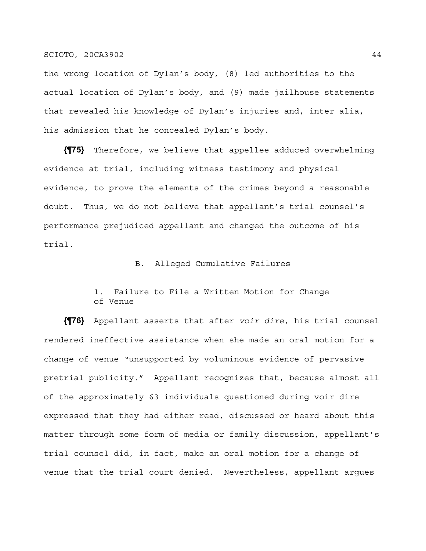the wrong location of Dylan's body, (8) led authorities to the actual location of Dylan's body, and (9) made jailhouse statements that revealed his knowledge of Dylan's injuries and, inter alia, his admission that he concealed Dylan's body.

**{¶75}** Therefore, we believe that appellee adduced overwhelming evidence at trial, including witness testimony and physical evidence, to prove the elements of the crimes beyond a reasonable doubt. Thus, we do not believe that appellant's trial counsel's performance prejudiced appellant and changed the outcome of his trial.

# B. Alleged Cumulative Failures

1. Failure to File a Written Motion for Change of Venue

**{¶76}** Appellant asserts that after *voir dire*, his trial counsel rendered ineffective assistance when she made an oral motion for a change of venue "unsupported by voluminous evidence of pervasive pretrial publicity." Appellant recognizes that, because almost all of the approximately 63 individuals questioned during voir dire expressed that they had either read, discussed or heard about this matter through some form of media or family discussion, appellant's trial counsel did, in fact, make an oral motion for a change of venue that the trial court denied. Nevertheless, appellant argues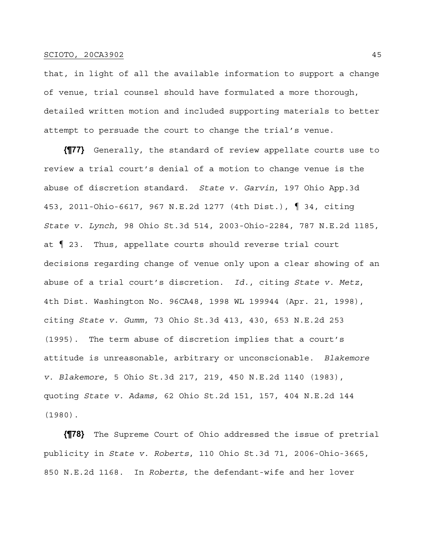that, in light of all the available information to support a change of venue, trial counsel should have formulated a more thorough, detailed written motion and included supporting materials to better attempt to persuade the court to change the trial's venue.

**{¶77}** Generally, the standard of review appellate courts use to review a trial court's denial of a motion to change venue is the abuse of discretion standard. *State v. Garvin*, 197 Ohio App.3d 453, 2011-Ohio-6617, 967 N.E.2d 1277 (4th Dist.), ¶ 34, citing *State v. Lynch*, 98 Ohio St.3d 514, 2003-Ohio-2284, 787 N.E.2d 1185, at ¶ 23. Thus, appellate courts should reverse trial court decisions regarding change of venue only upon a clear showing of an abuse of a trial court's discretion. *Id.*, citing *State v. Metz*, 4th Dist. Washington No. 96CA48, 1998 WL 199944 (Apr. 21, 1998), citing *State v. Gumm*, 73 Ohio St.3d 413, 430, 653 N.E.2d 253 (1995). The term abuse of discretion implies that a court's attitude is unreasonable, arbitrary or unconscionable. *Blakemore v. Blakemore*, 5 Ohio St.3d 217, 219, 450 N.E.2d 1140 (1983), quoting *State v. Adams,* 62 Ohio St.2d 151, 157, 404 N.E.2d 144 (1980).

**{¶78}** The Supreme Court of Ohio addressed the issue of pretrial publicity in *State v. Roberts*, 110 Ohio St.3d 71, 2006-Ohio-3665, 850 N.E.2d 1168. In *Roberts,* the defendant-wife and her lover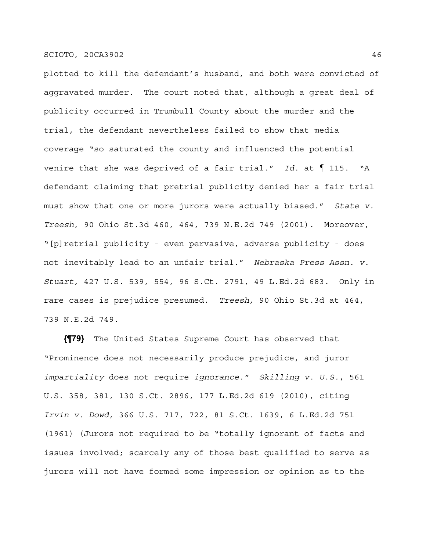plotted to kill the defendant's husband, and both were convicted of aggravated murder. The court noted that, although a great deal of publicity occurred in Trumbull County about the murder and the trial, the defendant nevertheless failed to show that media coverage "so saturated the county and influenced the potential venire that she was deprived of a fair trial." *Id.* at ¶ 115. "A defendant claiming that pretrial publicity denied her a fair trial must show that one or more jurors were actually biased." *State v. Treesh*, 90 Ohio St.3d 460, 464, 739 N.E.2d 749 (2001). Moreover, "[p]retrial publicity - even pervasive, adverse publicity - does not inevitably lead to an unfair trial." *Nebraska Press Assn. v. Stuart,* 427 U.S. 539, 554, 96 S.Ct. 2791, 49 L.Ed.2d 683. Only in rare cases is prejudice presumed. *Treesh,* 90 Ohio St.3d at 464, 739 N.E.2d 749.

**{¶79}** The United States Supreme Court has observed that "Prominence does not necessarily produce prejudice, and juror *impartiality* does not require *ignorance." Skilling v. U.S.*, 561 U.S. 358, 381, 130 S.Ct. 2896, 177 L.Ed.2d 619 (2010), citing *Irvin v. Dowd*, 366 U.S. 717, 722, 81 S.Ct. 1639, 6 L.Ed.2d 751 (1961) (Jurors not required to be "totally ignorant of facts and issues involved; scarcely any of those best qualified to serve as jurors will not have formed some impression or opinion as to the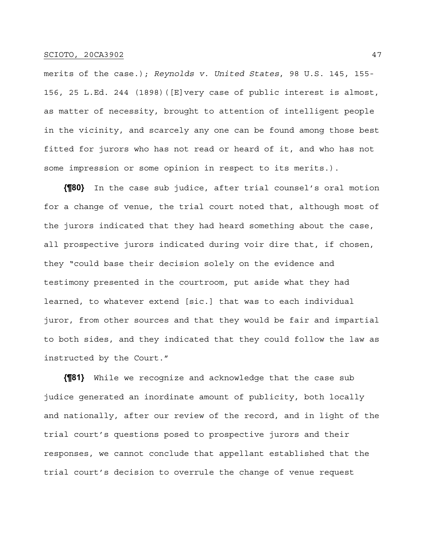merits of the case.); *Reynolds v. United States*, 98 U.S. 145, 155- 156, 25 L.Ed. 244 (1898)([E]very case of public interest is almost, as matter of necessity, brought to attention of intelligent people in the vicinity, and scarcely any one can be found among those best fitted for jurors who has not read or heard of it, and who has not some impression or some opinion in respect to its merits.).

**{¶80}** In the case sub judice, after trial counsel's oral motion for a change of venue, the trial court noted that, although most of the jurors indicated that they had heard something about the case, all prospective jurors indicated during voir dire that, if chosen, they "could base their decision solely on the evidence and testimony presented in the courtroom, put aside what they had learned, to whatever extend [sic.] that was to each individual juror, from other sources and that they would be fair and impartial to both sides, and they indicated that they could follow the law as instructed by the Court."

**{¶81}** While we recognize and acknowledge that the case sub judice generated an inordinate amount of publicity, both locally and nationally, after our review of the record, and in light of the trial court's questions posed to prospective jurors and their responses, we cannot conclude that appellant established that the trial court's decision to overrule the change of venue request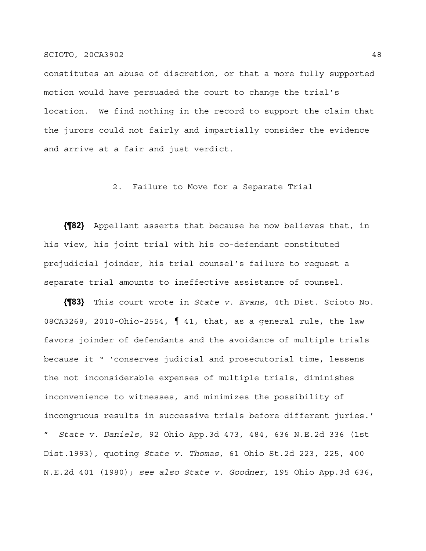constitutes an abuse of discretion, or that a more fully supported motion would have persuaded the court to change the trial's location. We find nothing in the record to support the claim that the jurors could not fairly and impartially consider the evidence and arrive at a fair and just verdict.

# 2. Failure to Move for a Separate Trial

**{¶82}** Appellant asserts that because he now believes that, in his view, his joint trial with his co-defendant constituted prejudicial joinder, his trial counsel's failure to request a separate trial amounts to ineffective assistance of counsel.

**{¶83}** This court wrote in *State v. Evans,* 4th Dist. Scioto No. 08CA3268, 2010-Ohio-2554, ¶ 41, that, as a general rule, the law favors joinder of defendants and the avoidance of multiple trials because it " 'conserves judicial and prosecutorial time, lessens the not inconsiderable expenses of multiple trials, diminishes inconvenience to witnesses, and minimizes the possibility of incongruous results in successive trials before different juries.' " *State v. Daniels*, 92 Ohio App.3d 473, 484, 636 N.E.2d 336 (1st Dist.1993), quoting *State v. Thomas*, 61 Ohio St.2d 223, 225, 400 N.E.2d 401 (1980); *see also State v. Goodner,* 195 Ohio App.3d 636,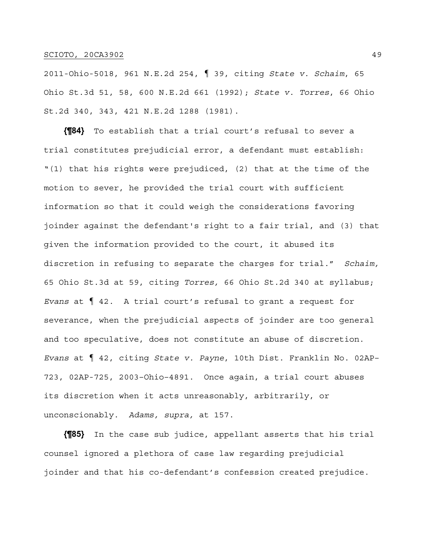2011-Ohio-5018, 961 N.E.2d 254, ¶ 39, citing *State v. Schaim*, 65 Ohio St.3d 51, 58, 600 N.E.2d 661 (1992); *State v. Torres*, 66 Ohio St.2d 340, 343, 421 N.E.2d 1288 (1981).

**{¶84}** To establish that a trial court's refusal to sever a trial constitutes prejudicial error, a defendant must establish: "(1) that his rights were prejudiced, (2) that at the time of the motion to sever, he provided the trial court with sufficient information so that it could weigh the considerations favoring joinder against the defendant's right to a fair trial, and (3) that given the information provided to the court, it abused its discretion in refusing to separate the charges for trial." *Schaim,*  65 Ohio St.3d at 59, citing *Torres,* 66 Ohio St.2d 340 at syllabus; *Evans* at ¶ 42. A trial court's refusal to grant a request for severance, when the prejudicial aspects of joinder are too general and too speculative, does not constitute an abuse of discretion. *Evans* at ¶ 42, citing *State v. Payne*, 10th Dist. Franklin No. 02AP– 723, 02AP-725, 2003–Ohio–4891. Once again, a trial court abuses its discretion when it acts unreasonably, arbitrarily, or unconscionably. *Adams, supra,* at 157.

**{¶85}** In the case sub judice, appellant asserts that his trial counsel ignored a plethora of case law regarding prejudicial joinder and that his co-defendant's confession created prejudice.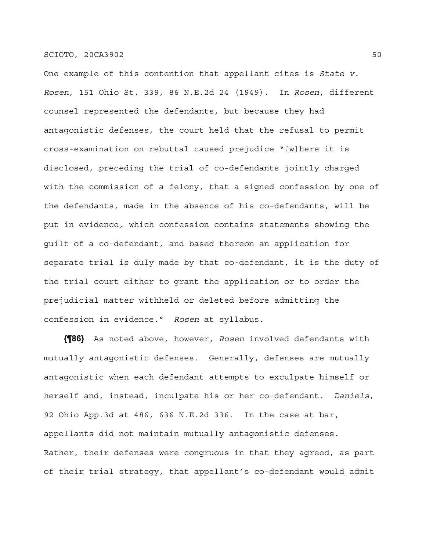One example of this contention that appellant cites is *State v. Rosen*, 151 Ohio St. 339, 86 N.E.2d 24 (1949). In *Rosen*, different counsel represented the defendants, but because they had antagonistic defenses, the court held that the refusal to permit cross-examination on rebuttal caused prejudice "[w]here it is disclosed, preceding the trial of co-defendants jointly charged with the commission of a felony, that a signed confession by one of the defendants, made in the absence of his co-defendants, will be put in evidence, which confession contains statements showing the guilt of a co-defendant, and based thereon an application for separate trial is duly made by that co-defendant, it is the duty of the trial court either to grant the application or to order the prejudicial matter withheld or deleted before admitting the confession in evidence." *Rosen* at syllabus.

**{¶86}** As noted above, however*, Rosen* involved defendants with mutually antagonistic defenses. Generally, defenses are mutually antagonistic when each defendant attempts to exculpate himself or herself and, instead, inculpate his or her co-defendant. *Daniels*, 92 Ohio App.3d at 486, 636 N.E.2d 336. In the case at bar, appellants did not maintain mutually antagonistic defenses. Rather, their defenses were congruous in that they agreed, as part of their trial strategy, that appellant's co-defendant would admit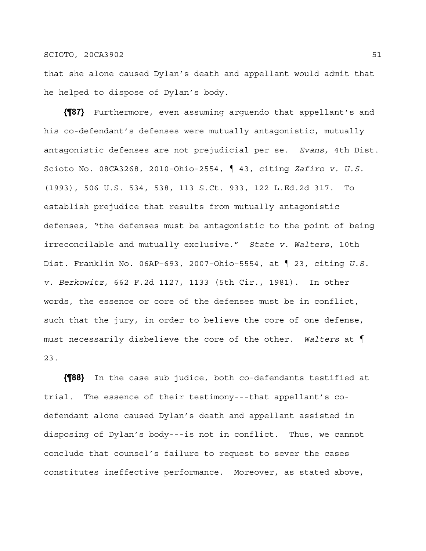that she alone caused Dylan's death and appellant would admit that he helped to dispose of Dylan's body.

**{¶87}** Furthermore, even assuming arguendo that appellant's and his co-defendant's defenses were mutually antagonistic, mutually antagonistic defenses are not prejudicial per se. *Evans,* 4th Dist. Scioto No. 08CA3268, 2010-Ohio-2554, ¶ 43, citing *Zafiro v. U.S.*  (1993), 506 U.S. 534, 538, 113 S.Ct. 933, 122 L.Ed.2d 317. To establish prejudice that results from mutually antagonistic defenses, "the defenses must be antagonistic to the point of being irreconcilable and mutually exclusive." *State v. Walters*, 10th Dist. Franklin No. 06AP–693, 2007–Ohio–5554, at ¶ 23, citing *U.S. v. Berkowitz*, 662 F.2d 1127, 1133 (5th Cir., 1981). In other words, the essence or core of the defenses must be in conflict, such that the jury, in order to believe the core of one defense, must necessarily disbelieve the core of the other. *Walters* at ¶ 23.

**{¶88}** In the case sub judice, both co-defendants testified at trial. The essence of their testimony---that appellant's codefendant alone caused Dylan's death and appellant assisted in disposing of Dylan's body---is not in conflict. Thus, we cannot conclude that counsel's failure to request to sever the cases constitutes ineffective performance. Moreover, as stated above,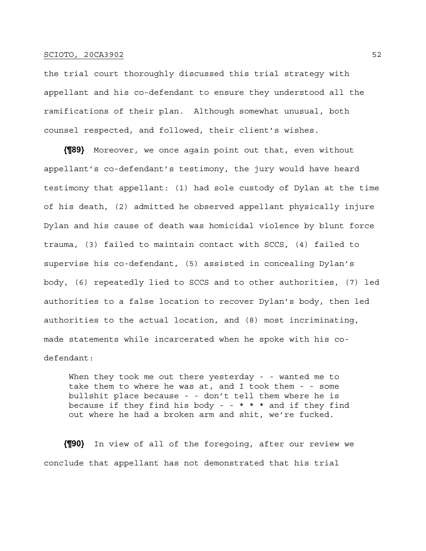the trial court thoroughly discussed this trial strategy with appellant and his co-defendant to ensure they understood all the ramifications of their plan. Although somewhat unusual, both counsel respected, and followed, their client's wishes.

**{¶89}** Moreover, we once again point out that, even without appellant's co-defendant's testimony, the jury would have heard testimony that appellant: (1) had sole custody of Dylan at the time of his death, (2) admitted he observed appellant physically injure Dylan and his cause of death was homicidal violence by blunt force trauma, (3) failed to maintain contact with SCCS, (4) failed to supervise his co-defendant, (5) assisted in concealing Dylan's body, (6) repeatedly lied to SCCS and to other authorities, (7) led authorities to a false location to recover Dylan's body, then led authorities to the actual location, and (8) most incriminating, made statements while incarcerated when he spoke with his codefendant:

When they took me out there yesterday - - wanted me to take them to where he was at, and I took them - - some bullshit place because - - don't tell them where he is because if they find his body - - \* \* \* and if they find out where he had a broken arm and shit, we're fucked.

**{¶90}** In view of all of the foregoing, after our review we conclude that appellant has not demonstrated that his trial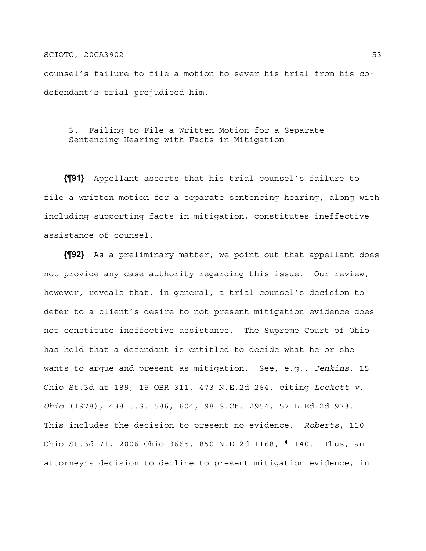counsel's failure to file a motion to sever his trial from his codefendant's trial prejudiced him.

3. Failing to File a Written Motion for a Separate Sentencing Hearing with Facts in Mitigation

**{¶91}** Appellant asserts that his trial counsel's failure to file a written motion for a separate sentencing hearing, along with including supporting facts in mitigation, constitutes ineffective assistance of counsel.

**{¶92}** As a preliminary matter, we point out that appellant does not provide any case authority regarding this issue. Our review, however, reveals that, in general, a trial counsel's decision to defer to a client's desire to not present mitigation evidence does not constitute ineffective assistance. The Supreme Court of Ohio has held that a defendant is entitled to decide what he or she wants to argue and present as mitigation. See, e.g., *Jenkins*, 15 Ohio St.3d at 189, 15 OBR 311, 473 N.E.2d 264, citing *Lockett v. Ohio* (1978), 438 U.S. 586, 604, 98 S.Ct. 2954, 57 L.Ed.2d 973. This includes the decision to present no evidence. *Roberts*, 110 Ohio St.3d 71, 2006-Ohio-3665, 850 N.E.2d 1168, ¶ 140. Thus, an attorney's decision to decline to present mitigation evidence, in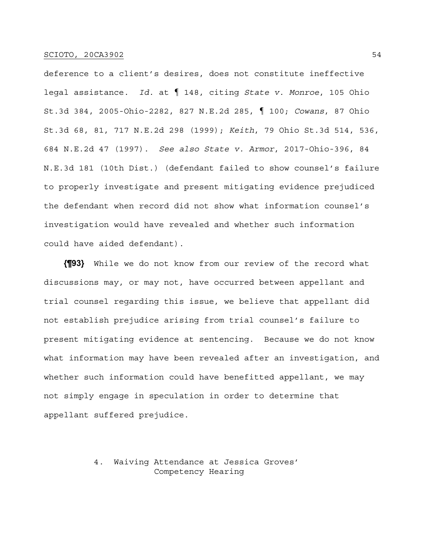deference to a client's desires, does not constitute ineffective legal assistance. *Id.* at ¶ 148, citing *State v. Monroe*, 105 Ohio St.3d 384, 2005-Ohio-2282, 827 N.E.2d 285, ¶ 100; *Cowans*, 87 Ohio St.3d 68, 81, 717 N.E.2d 298 (1999); *Keith*, 79 Ohio St.3d 514, 536, 684 N.E.2d 47 (1997). *See also State v. Armor*, 2017-Ohio-396, 84 N.E.3d 181 (10th Dist.) (defendant failed to show counsel's failure to properly investigate and present mitigating evidence prejudiced the defendant when record did not show what information counsel's investigation would have revealed and whether such information could have aided defendant).

**{¶93}** While we do not know from our review of the record what discussions may, or may not, have occurred between appellant and trial counsel regarding this issue, we believe that appellant did not establish prejudice arising from trial counsel's failure to present mitigating evidence at sentencing. Because we do not know what information may have been revealed after an investigation, and whether such information could have benefitted appellant, we may not simply engage in speculation in order to determine that appellant suffered prejudice.

> 4. Waiving Attendance at Jessica Groves' Competency Hearing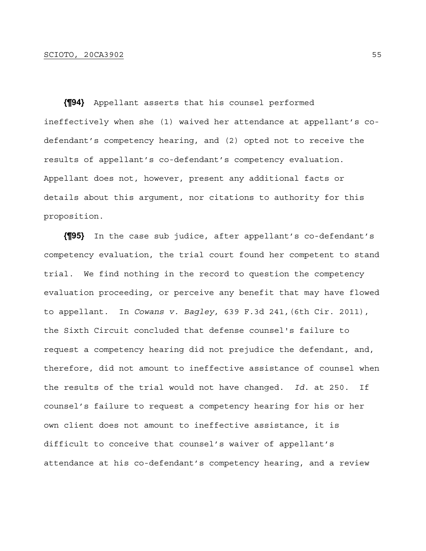**{¶94}** Appellant asserts that his counsel performed ineffectively when she (1) waived her attendance at appellant's codefendant's competency hearing, and (2) opted not to receive the results of appellant's co-defendant's competency evaluation. Appellant does not, however, present any additional facts or details about this argument, nor citations to authority for this proposition.

**{¶95}** In the case sub judice, after appellant's co-defendant's competency evaluation, the trial court found her competent to stand trial. We find nothing in the record to question the competency evaluation proceeding, or perceive any benefit that may have flowed to appellant. In *Cowans v. Bagley*, 639 F.3d 241,(6th Cir. 2011), the Sixth Circuit concluded that defense counsel's failure to request a competency hearing did not prejudice the defendant, and, therefore, did not amount to ineffective assistance of counsel when the results of the trial would not have changed. *Id.* at 250. If counsel's failure to request a competency hearing for his or her own client does not amount to ineffective assistance, it is difficult to conceive that counsel's waiver of appellant's attendance at his co-defendant's competency hearing, and a review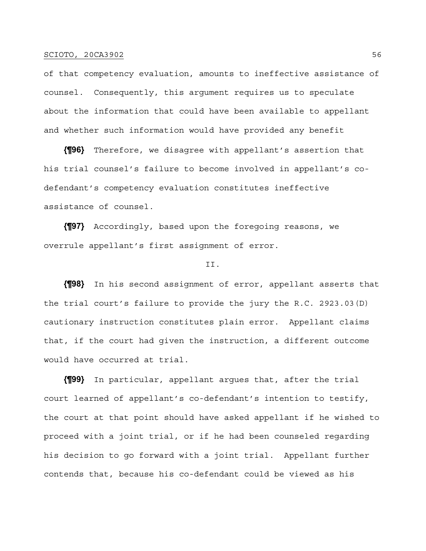of that competency evaluation, amounts to ineffective assistance of counsel. Consequently, this argument requires us to speculate about the information that could have been available to appellant and whether such information would have provided any benefit

**{¶96}** Therefore, we disagree with appellant's assertion that his trial counsel's failure to become involved in appellant's codefendant's competency evaluation constitutes ineffective assistance of counsel.

**{¶97}** Accordingly, based upon the foregoing reasons, we overrule appellant's first assignment of error.

#### II.

**{¶98}** In his second assignment of error, appellant asserts that the trial court's failure to provide the jury the R.C. 2923.03(D) cautionary instruction constitutes plain error. Appellant claims that, if the court had given the instruction, a different outcome would have occurred at trial.

**{¶99}** In particular, appellant argues that, after the trial court learned of appellant's co-defendant's intention to testify, the court at that point should have asked appellant if he wished to proceed with a joint trial, or if he had been counseled regarding his decision to go forward with a joint trial. Appellant further contends that, because his co-defendant could be viewed as his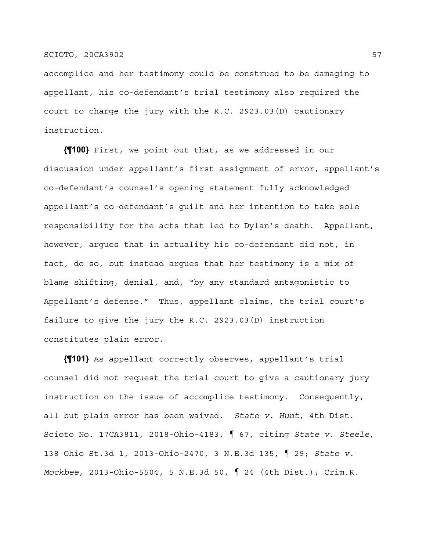accomplice and her testimony could be construed to be damaging to appellant, his co-defendant's trial testimony also required the court to charge the jury with the R.C. 2923.03(D) cautionary instruction.

**{¶100}** First, we point out that, as we addressed in our discussion under appellant's first assignment of error, appellant's co-defendant's counsel's opening statement fully acknowledged appellant's co-defendant's guilt and her intention to take sole responsibility for the acts that led to Dylan's death. Appellant, however, argues that in actuality his co-defendant did not, in fact, do so, but instead argues that her testimony is a mix of blame shifting, denial, and, "by any standard antagonistic to Appellant's defense." Thus, appellant claims, the trial court's failure to give the jury the R.C. 2923.03(D) instruction constitutes plain error.

**{¶101}** As appellant correctly observes, appellant's trial counsel did not request the trial court to give a cautionary jury instruction on the issue of accomplice testimony. Consequently, all but plain error has been waived. *State v. Hunt*, 4th Dist. Scioto No. 17CA3811, 2018-Ohio-4183, ¶ 67, citing *State v. Steele*, 138 Ohio St.3d 1, 2013-Ohio-2470, 3 N.E.3d 135, ¶ 29; *State v. Mockbee*, 2013-Ohio-5504, 5 N.E.3d 50, ¶ 24 (4th Dist.); Crim.R.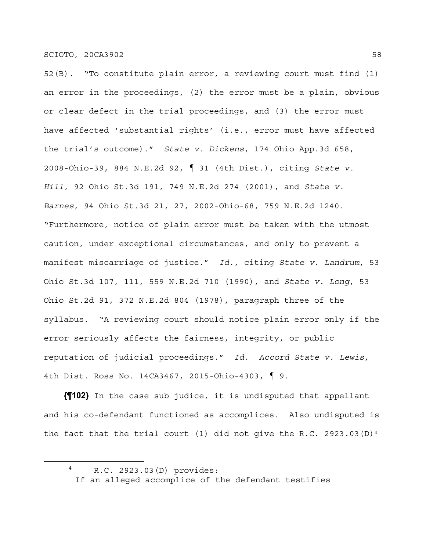52(B). "To constitute plain error, a reviewing court must find (1) an error in the proceedings, (2) the error must be a plain, obvious or clear defect in the trial proceedings, and (3) the error must have affected 'substantial rights' (i.e., error must have affected the trial's outcome)." *State v. Dickens*, 174 Ohio App.3d 658, 2008-Ohio-39, 884 N.E.2d 92, ¶ 31 (4th Dist.), citing *State v. Hill*, 92 Ohio St.3d 191, 749 N.E.2d 274 (2001), and *State v. Barnes*, 94 Ohio St.3d 21, 27, 2002-Ohio-68, 759 N.E.2d 1240. "Furthermore, notice of plain error must be taken with the utmost caution, under exceptional circumstances, and only to prevent a manifest miscarriage of justice." *Id.*, citing *State v. Landrum*, 53 Ohio St.3d 107, 111, 559 N.E.2d 710 (1990), and *State v. Long*, 53 Ohio St.2d 91, 372 N.E.2d 804 (1978), paragraph three of the syllabus. "A reviewing court should notice plain error only if the error seriously affects the fairness, integrity, or public reputation of judicial proceedings." *Id. Accord State v. Lewis,*  4th Dist. Ross No. 14CA3467, 2015-Ohio-4303, ¶ 9.

**{¶102}** In the case sub judice, it is undisputed that appellant and his co-defendant functioned as accomplices. Also undisputed is the fact that the trial court (1) did not give the R.C. 2923.03 (D)<sup>4</sup>

<sup>4</sup> R.C. 2923.03(D) provides:

If an alleged accomplice of the defendant testifies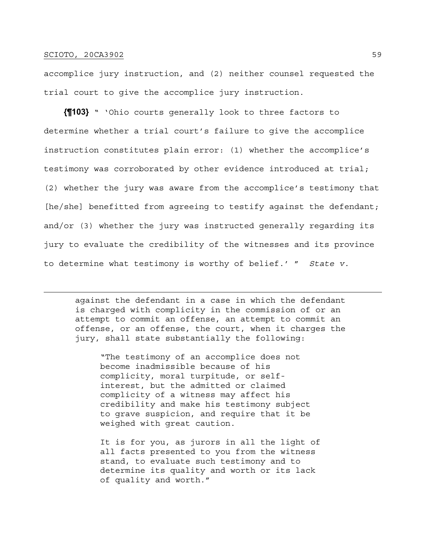accomplice jury instruction, and (2) neither counsel requested the trial court to give the accomplice jury instruction.

**{¶103}** " 'Ohio courts generally look to three factors to determine whether a trial court's failure to give the accomplice instruction constitutes plain error: (1) whether the accomplice's testimony was corroborated by other evidence introduced at trial; (2) whether the jury was aware from the accomplice's testimony that [he/she] benefitted from agreeing to testify against the defendant; and/or (3) whether the jury was instructed generally regarding its jury to evaluate the credibility of the witnesses and its province to determine what testimony is worthy of belief.' " *State v.* 

against the defendant in a case in which the defendant is charged with complicity in the commission of or an attempt to commit an offense, an attempt to commit an offense, or an offense, the court, when it charges the jury, shall state substantially the following:

"The testimony of an accomplice does not become inadmissible because of his complicity, moral turpitude, or selfinterest, but the admitted or claimed complicity of a witness may affect his credibility and make his testimony subject to grave suspicion, and require that it be weighed with great caution.

It is for you, as jurors in all the light of all facts presented to you from the witness stand, to evaluate such testimony and to determine its quality and worth or its lack of quality and worth."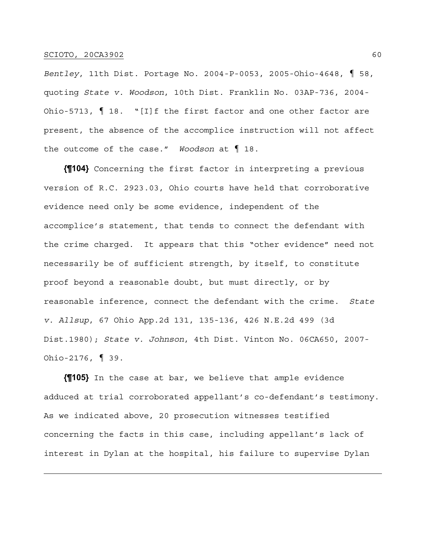*Bentley*, 11th Dist. Portage No. 2004-P-0053, 2005-Ohio-4648, ¶ 58, quoting *State v. Woodson*, 10th Dist. Franklin No. 03AP-736, 2004- Ohio-5713, ¶ 18. "[I]f the first factor and one other factor are present, the absence of the accomplice instruction will not affect the outcome of the case." *Woodson* at ¶ 18.

**{¶104}** Concerning the first factor in interpreting a previous version of R.C. 2923.03, Ohio courts have held that corroborative evidence need only be some evidence, independent of the accomplice's statement, that tends to connect the defendant with the crime charged. It appears that this "other evidence" need not necessarily be of sufficient strength, by itself, to constitute proof beyond a reasonable doubt, but must directly, or by reasonable inference, connect the defendant with the crime. *State v. Allsup*, 67 Ohio App.2d 131, 135-136, 426 N.E.2d 499 (3d Dist.1980); *State v. Johnson*, 4th Dist. Vinton No. 06CA650, 2007- Ohio-2176, ¶ 39.

**{¶105}** In the case at bar, we believe that ample evidence adduced at trial corroborated appellant's co-defendant's testimony. As we indicated above, 20 prosecution witnesses testified concerning the facts in this case, including appellant's lack of interest in Dylan at the hospital, his failure to supervise Dylan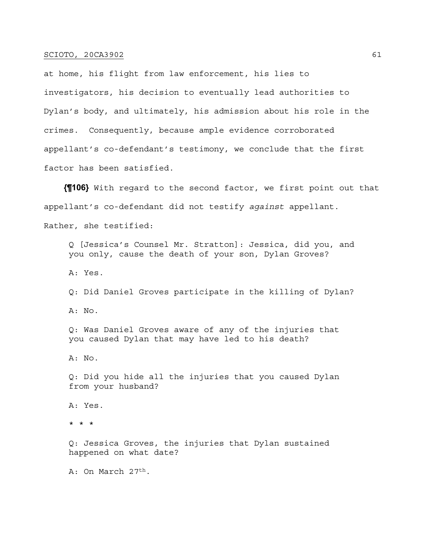at home, his flight from law enforcement, his lies to investigators, his decision to eventually lead authorities to Dylan's body, and ultimately, his admission about his role in the crimes. Consequently, because ample evidence corroborated appellant's co-defendant's testimony, we conclude that the first factor has been satisfied.

**{¶106}** With regard to the second factor, we first point out that appellant's co-defendant did not testify *against* appellant. Rather, she testified:

Q [Jessica's Counsel Mr. Stratton]: Jessica, did you, and you only, cause the death of your son, Dylan Groves?

A: Yes.

Q: Did Daniel Groves participate in the killing of Dylan?

A: No.

Q: Was Daniel Groves aware of any of the injuries that you caused Dylan that may have led to his death?

A: No.

Q: Did you hide all the injuries that you caused Dylan from your husband?

A: Yes.

\* \* \*

Q: Jessica Groves, the injuries that Dylan sustained happened on what date?

A: On March 27th.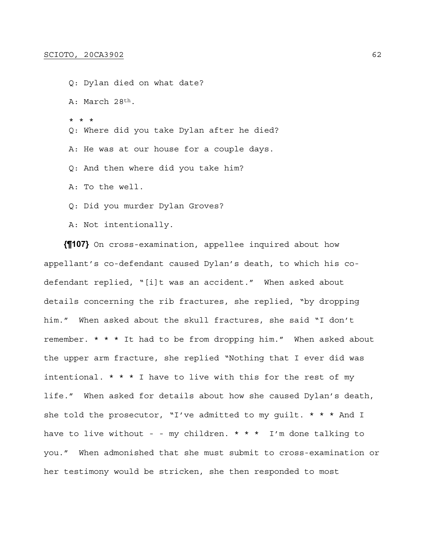Q: Dylan died on what date? A: March 28th. \* \* \* Q: Where did you take Dylan after he died? A: He was at our house for a couple days. Q: And then where did you take him? A: To the well. Q: Did you murder Dylan Groves?

A: Not intentionally.

**{¶107}** On cross-examination, appellee inquired about how appellant's co-defendant caused Dylan's death, to which his codefendant replied, "[i]t was an accident." When asked about details concerning the rib fractures, she replied, "by dropping him." When asked about the skull fractures, she said "I don't remember. \* \* \* It had to be from dropping him." When asked about the upper arm fracture, she replied "Nothing that I ever did was intentional.  $* * I$  have to live with this for the rest of my life." When asked for details about how she caused Dylan's death, she told the prosecutor, "I've admitted to my guilt. \* \* \* And I have to live without - - my children.  $* * * I'm$  done talking to you." When admonished that she must submit to cross-examination or her testimony would be stricken, she then responded to most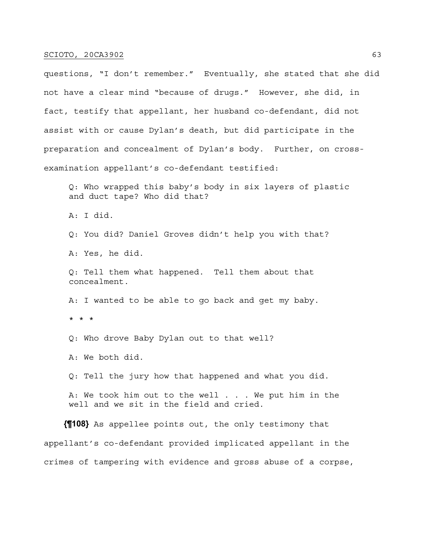questions, "I don't remember." Eventually, she stated that she did not have a clear mind "because of drugs." However, she did, in fact, testify that appellant, her husband co-defendant, did not assist with or cause Dylan's death, but did participate in the preparation and concealment of Dylan's body. Further, on crossexamination appellant's co-defendant testified:

Q: Who wrapped this baby's body in six layers of plastic and duct tape? Who did that?

A: I did.

Q: You did? Daniel Groves didn't help you with that?

A: Yes, he did.

Q: Tell them what happened. Tell them about that concealment.

A: I wanted to be able to go back and get my baby.

\* \* \*

Q: Who drove Baby Dylan out to that well?

A: We both did.

Q: Tell the jury how that happened and what you did.

A: We took him out to the well . . . We put him in the well and we sit in the field and cried.

**{¶108}** As appellee points out, the only testimony that appellant's co-defendant provided implicated appellant in the crimes of tampering with evidence and gross abuse of a corpse,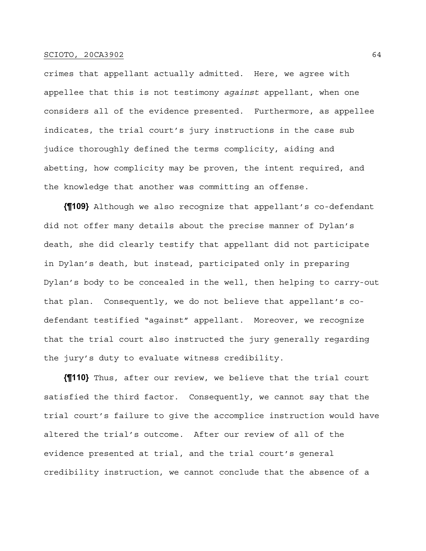crimes that appellant actually admitted. Here, we agree with appellee that this is not testimony *against* appellant, when one considers all of the evidence presented. Furthermore, as appellee indicates, the trial court's jury instructions in the case sub judice thoroughly defined the terms complicity, aiding and abetting, how complicity may be proven, the intent required, and the knowledge that another was committing an offense.

**{¶109}** Although we also recognize that appellant's co-defendant did not offer many details about the precise manner of Dylan's death, she did clearly testify that appellant did not participate in Dylan's death, but instead, participated only in preparing Dylan's body to be concealed in the well, then helping to carry-out that plan. Consequently, we do not believe that appellant's codefendant testified "against" appellant. Moreover, we recognize that the trial court also instructed the jury generally regarding the jury's duty to evaluate witness credibility.

**{¶110}** Thus, after our review, we believe that the trial court satisfied the third factor. Consequently, we cannot say that the trial court's failure to give the accomplice instruction would have altered the trial's outcome. After our review of all of the evidence presented at trial, and the trial court's general credibility instruction, we cannot conclude that the absence of a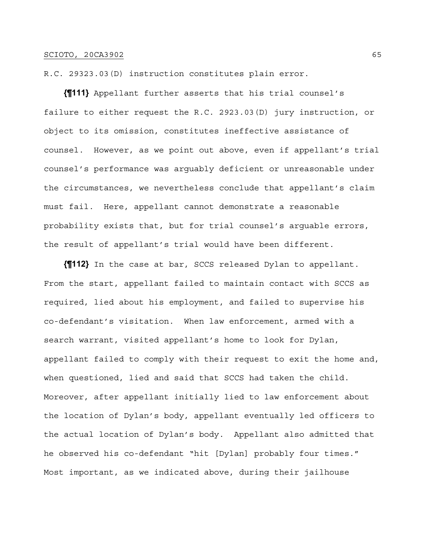R.C. 29323.03(D) instruction constitutes plain error.

**{¶111}** Appellant further asserts that his trial counsel's failure to either request the R.C. 2923.03(D) jury instruction, or object to its omission, constitutes ineffective assistance of counsel. However, as we point out above, even if appellant's trial counsel's performance was arguably deficient or unreasonable under the circumstances, we nevertheless conclude that appellant's claim must fail. Here, appellant cannot demonstrate a reasonable probability exists that, but for trial counsel's arguable errors, the result of appellant's trial would have been different.

**{¶112}** In the case at bar, SCCS released Dylan to appellant. From the start, appellant failed to maintain contact with SCCS as required, lied about his employment, and failed to supervise his co-defendant's visitation. When law enforcement, armed with a search warrant, visited appellant's home to look for Dylan, appellant failed to comply with their request to exit the home and, when questioned, lied and said that SCCS had taken the child. Moreover, after appellant initially lied to law enforcement about the location of Dylan's body, appellant eventually led officers to the actual location of Dylan's body. Appellant also admitted that he observed his co-defendant "hit [Dylan] probably four times." Most important, as we indicated above, during their jailhouse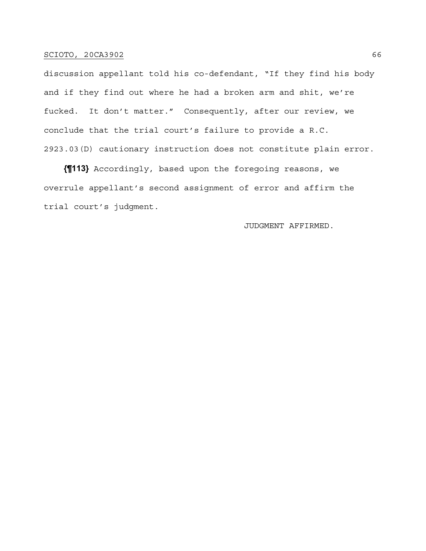discussion appellant told his co-defendant, "If they find his body and if they find out where he had a broken arm and shit, we're fucked. It don't matter." Consequently, after our review, we conclude that the trial court's failure to provide a R.C. 2923.03(D) cautionary instruction does not constitute plain error.

**{¶113}** Accordingly, based upon the foregoing reasons, we overrule appellant's second assignment of error and affirm the trial court's judgment.

# JUDGMENT AFFIRMED.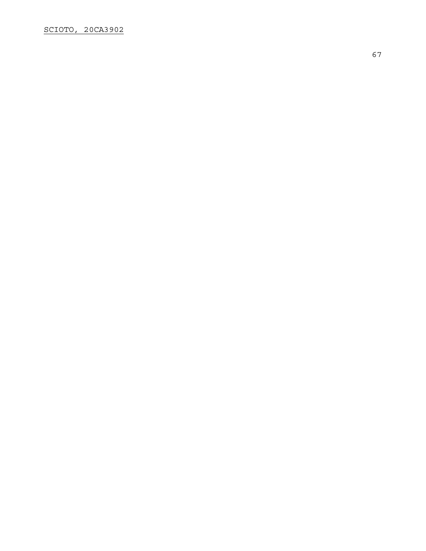# SCIOTO, 20CA3902

67